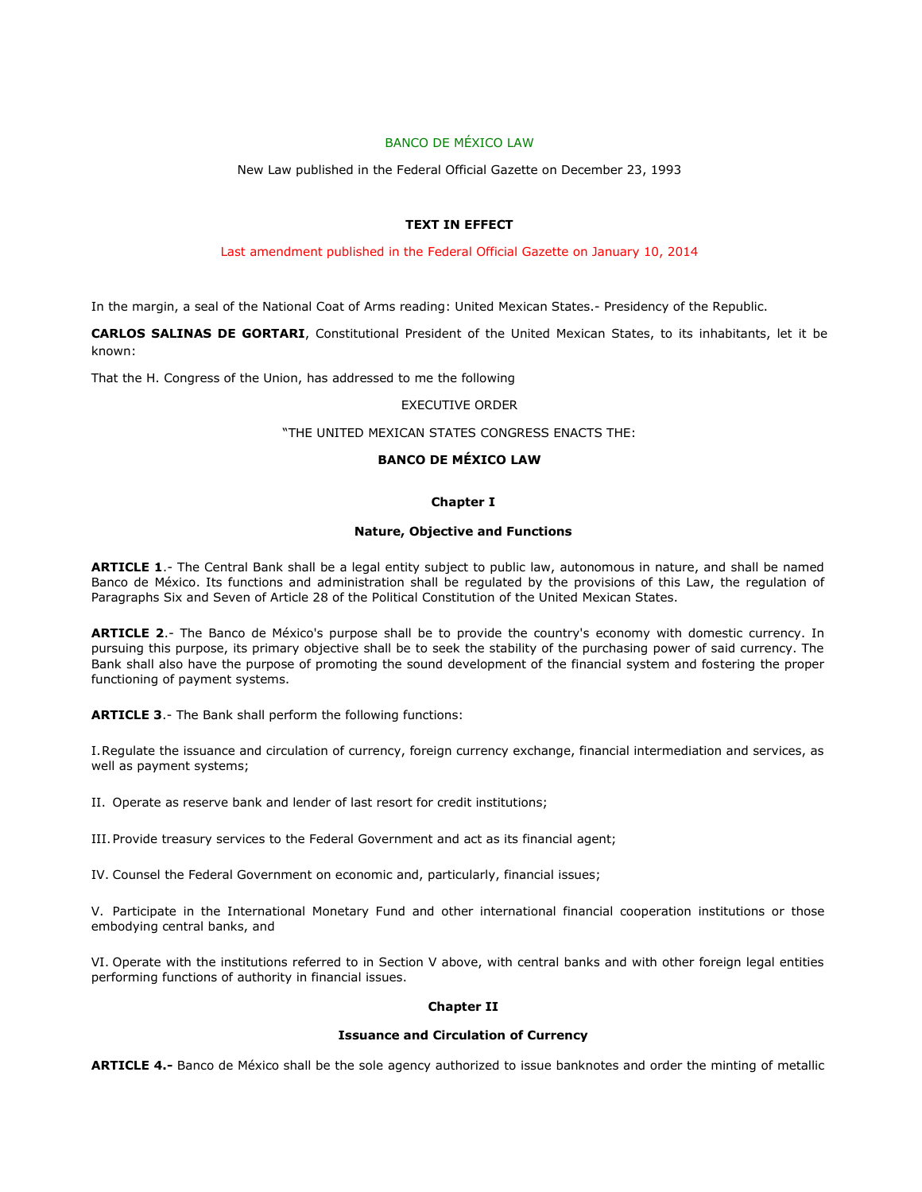# BANCO DE MÉXICO LAW

New Law published in the Federal Official Gazette on December 23, 1993

# **TEXT IN EFFECT**

### Last amendment published in the Federal Official Gazette on January 10, 2014

In the margin, a seal of the National Coat of Arms reading: United Mexican States.- Presidency of the Republic.

**CARLOS SALINAS DE GORTARI**, Constitutional President of the United Mexican States, to its inhabitants, let it be known:

That the H. Congress of the Union, has addressed to me the following

### EXECUTIVE ORDER

## "THE UNITED MEXICAN STATES CONGRESS ENACTS THE:

# **BANCO DE MÉXICO LAW**

# **Chapter I**

#### **Nature, Objective and Functions**

**ARTICLE 1**.- The Central Bank shall be a legal entity subject to public law, autonomous in nature, and shall be named Banco de México. Its functions and administration shall be regulated by the provisions of this Law, the regulation of Paragraphs Six and Seven of Article 28 of the Political Constitution of the United Mexican States.

**ARTICLE 2**.- The Banco de México's purpose shall be to provide the country's economy with domestic currency. In pursuing this purpose, its primary objective shall be to seek the stability of the purchasing power of said currency. The Bank shall also have the purpose of promoting the sound development of the financial system and fostering the proper functioning of payment systems.

**ARTICLE 3**.- The Bank shall perform the following functions:

I.Regulate the issuance and circulation of currency, foreign currency exchange, financial intermediation and services, as well as payment systems;

II. Operate as reserve bank and lender of last resort for credit institutions;

III.Provide treasury services to the Federal Government and act as its financial agent;

IV. Counsel the Federal Government on economic and, particularly, financial issues;

V. Participate in the International Monetary Fund and other international financial cooperation institutions or those embodying central banks, and

VI. Operate with the institutions referred to in Section V above, with central banks and with other foreign legal entities performing functions of authority in financial issues.

### **Chapter II**

### **Issuance and Circulation of Currency**

**ARTICLE 4.-** Banco de México shall be the sole agency authorized to issue banknotes and order the minting of metallic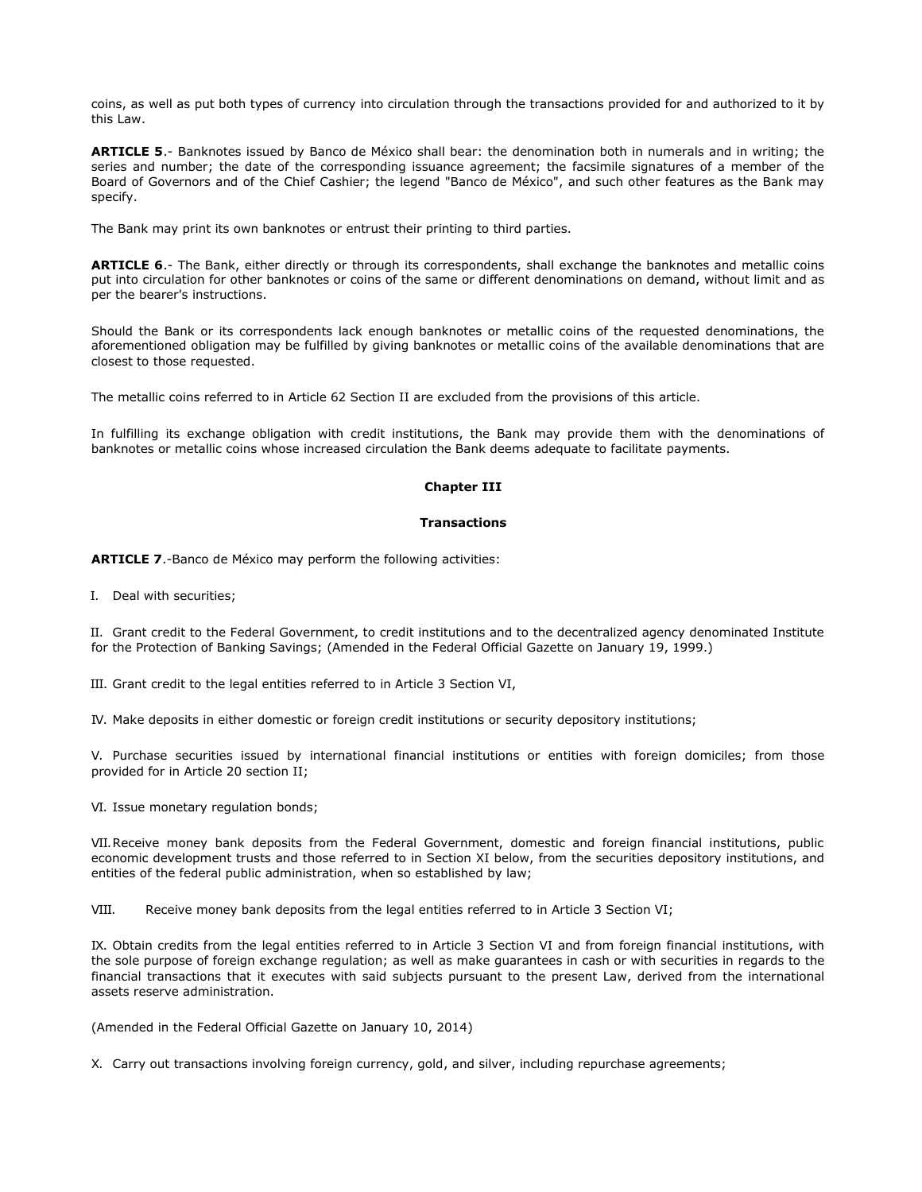coins, as well as put both types of currency into circulation through the transactions provided for and authorized to it by this Law.

**ARTICLE 5**.- Banknotes issued by Banco de México shall bear: the denomination both in numerals and in writing; the series and number; the date of the corresponding issuance agreement; the facsimile signatures of a member of the Board of Governors and of the Chief Cashier; the legend "Banco de México", and such other features as the Bank may specify.

The Bank may print its own banknotes or entrust their printing to third parties.

**ARTICLE 6**.- The Bank, either directly or through its correspondents, shall exchange the banknotes and metallic coins put into circulation for other banknotes or coins of the same or different denominations on demand, without limit and as per the bearer's instructions.

Should the Bank or its correspondents lack enough banknotes or metallic coins of the requested denominations, the aforementioned obligation may be fulfilled by giving banknotes or metallic coins of the available denominations that are closest to those requested.

The metallic coins referred to in Article 62 Section II are excluded from the provisions of this article.

In fulfilling its exchange obligation with credit institutions, the Bank may provide them with the denominations of banknotes or metallic coins whose increased circulation the Bank deems adequate to facilitate payments.

# **Chapter III**

#### **Transactions**

**ARTICLE 7**.-Banco de México may perform the following activities:

I. Deal with securities;

II. Grant credit to the Federal Government, to credit institutions and to the decentralized agency denominated Institute for the Protection of Banking Savings; (Amended in the Federal Official Gazette on January 19, 1999.)

III. Grant credit to the legal entities referred to in Article 3 Section VI,

IV. Make deposits in either domestic or foreign credit institutions or security depository institutions;

V. Purchase securities issued by international financial institutions or entities with foreign domiciles; from those provided for in Article 20 section II;

VI. Issue monetary regulation bonds;

VII.Receive money bank deposits from the Federal Government, domestic and foreign financial institutions, public economic development trusts and those referred to in Section XI below, from the securities depository institutions, and entities of the federal public administration, when so established by law;

VIII. Receive money bank deposits from the legal entities referred to in Article 3 Section VI;

IX. Obtain credits from the legal entities referred to in Article 3 Section VI and from foreign financial institutions, with the sole purpose of foreign exchange regulation; as well as make guarantees in cash or with securities in regards to the financial transactions that it executes with said subjects pursuant to the present Law, derived from the international assets reserve administration.

(Amended in the Federal Official Gazette on January 10, 2014)

X. Carry out transactions involving foreign currency, gold, and silver, including repurchase agreements;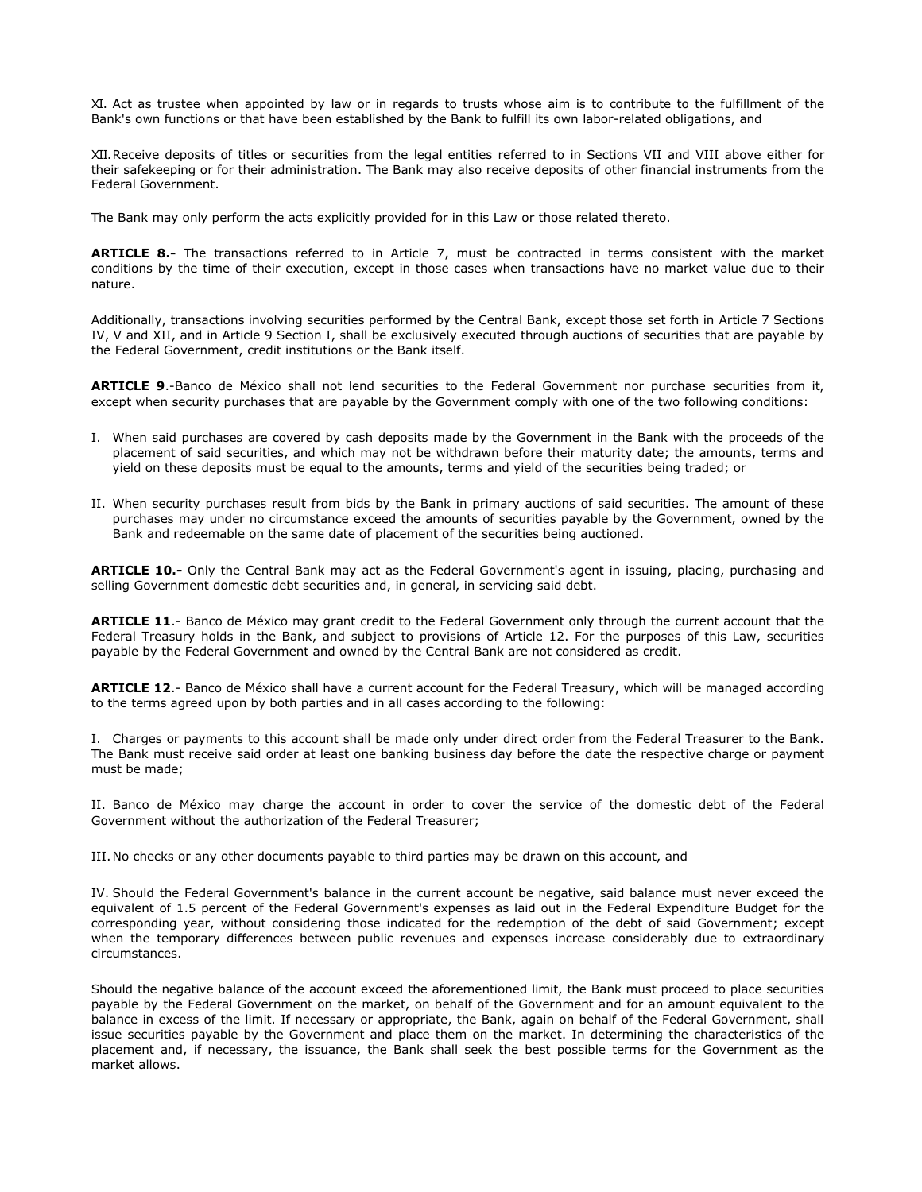XI. Act as trustee when appointed by law or in regards to trusts whose aim is to contribute to the fulfillment of the Bank's own functions or that have been established by the Bank to fulfill its own labor-related obligations, and

XII.Receive deposits of titles or securities from the legal entities referred to in Sections VII and VIII above either for their safekeeping or for their administration. The Bank may also receive deposits of other financial instruments from the Federal Government.

The Bank may only perform the acts explicitly provided for in this Law or those related thereto.

**ARTICLE 8.-** The transactions referred to in Article 7, must be contracted in terms consistent with the market conditions by the time of their execution, except in those cases when transactions have no market value due to their nature.

Additionally, transactions involving securities performed by the Central Bank, except those set forth in Article 7 Sections IV, V and XII, and in Article 9 Section I, shall be exclusively executed through auctions of securities that are payable by the Federal Government, credit institutions or the Bank itself.

**ARTICLE 9**.-Banco de México shall not lend securities to the Federal Government nor purchase securities from it, except when security purchases that are payable by the Government comply with one of the two following conditions:

- I. When said purchases are covered by cash deposits made by the Government in the Bank with the proceeds of the placement of said securities, and which may not be withdrawn before their maturity date; the amounts, terms and yield on these deposits must be equal to the amounts, terms and yield of the securities being traded; or
- II. When security purchases result from bids by the Bank in primary auctions of said securities. The amount of these purchases may under no circumstance exceed the amounts of securities payable by the Government, owned by the Bank and redeemable on the same date of placement of the securities being auctioned.

**ARTICLE 10.-** Only the Central Bank may act as the Federal Government's agent in issuing, placing, purchasing and selling Government domestic debt securities and, in general, in servicing said debt.

**ARTICLE 11**.- Banco de México may grant credit to the Federal Government only through the current account that the Federal Treasury holds in the Bank, and subject to provisions of Article 12. For the purposes of this Law, securities payable by the Federal Government and owned by the Central Bank are not considered as credit.

**ARTICLE 12**.- Banco de México shall have a current account for the Federal Treasury, which will be managed according to the terms agreed upon by both parties and in all cases according to the following:

I. Charges or payments to this account shall be made only under direct order from the Federal Treasurer to the Bank. The Bank must receive said order at least one banking business day before the date the respective charge or payment must be made;

II. Banco de México may charge the account in order to cover the service of the domestic debt of the Federal Government without the authorization of the Federal Treasurer;

III.No checks or any other documents payable to third parties may be drawn on this account, and

IV. Should the Federal Government's balance in the current account be negative, said balance must never exceed the equivalent of 1.5 percent of the Federal Government's expenses as laid out in the Federal Expenditure Budget for the corresponding year, without considering those indicated for the redemption of the debt of said Government; except when the temporary differences between public revenues and expenses increase considerably due to extraordinary circumstances.

Should the negative balance of the account exceed the aforementioned limit, the Bank must proceed to place securities payable by the Federal Government on the market, on behalf of the Government and for an amount equivalent to the balance in excess of the limit. If necessary or appropriate, the Bank, again on behalf of the Federal Government, shall issue securities payable by the Government and place them on the market. In determining the characteristics of the placement and, if necessary, the issuance, the Bank shall seek the best possible terms for the Government as the market allows.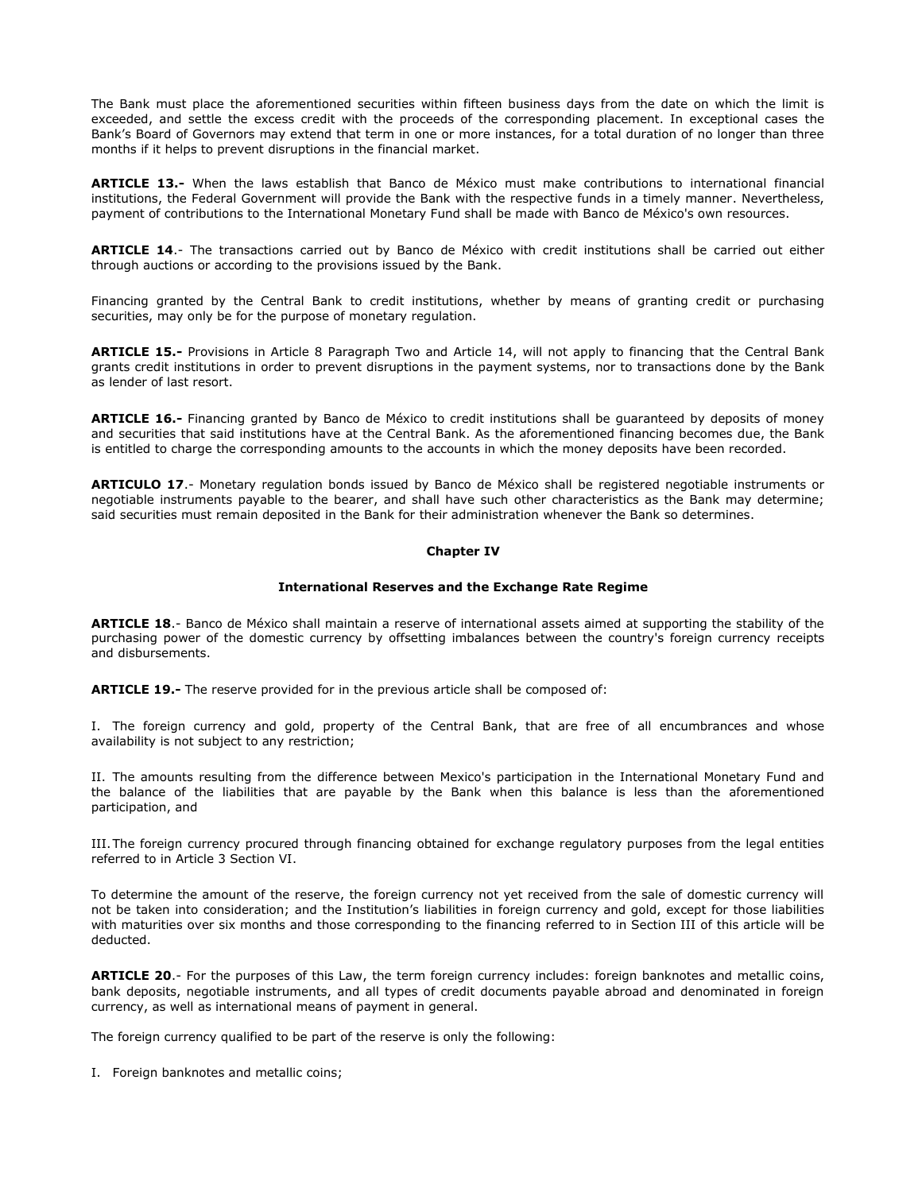The Bank must place the aforementioned securities within fifteen business days from the date on which the limit is exceeded, and settle the excess credit with the proceeds of the corresponding placement. In exceptional cases the Bank's Board of Governors may extend that term in one or more instances, for a total duration of no longer than three months if it helps to prevent disruptions in the financial market.

**ARTICLE 13.-** When the laws establish that Banco de México must make contributions to international financial institutions, the Federal Government will provide the Bank with the respective funds in a timely manner. Nevertheless, payment of contributions to the International Monetary Fund shall be made with Banco de México's own resources.

**ARTICLE 14**.- The transactions carried out by Banco de México with credit institutions shall be carried out either through auctions or according to the provisions issued by the Bank.

Financing granted by the Central Bank to credit institutions, whether by means of granting credit or purchasing securities, may only be for the purpose of monetary regulation.

**ARTICLE 15.-** Provisions in Article 8 Paragraph Two and Article 14, will not apply to financing that the Central Bank grants credit institutions in order to prevent disruptions in the payment systems, nor to transactions done by the Bank as lender of last resort.

**ARTICLE 16.-** Financing granted by Banco de México to credit institutions shall be guaranteed by deposits of money and securities that said institutions have at the Central Bank. As the aforementioned financing becomes due, the Bank is entitled to charge the corresponding amounts to the accounts in which the money deposits have been recorded.

**ARTICULO 17**.- Monetary regulation bonds issued by Banco de México shall be registered negotiable instruments or negotiable instruments payable to the bearer, and shall have such other characteristics as the Bank may determine; said securities must remain deposited in the Bank for their administration whenever the Bank so determines.

### **Chapter IV**

#### **International Reserves and the Exchange Rate Regime**

**ARTICLE 18**.- Banco de México shall maintain a reserve of international assets aimed at supporting the stability of the purchasing power of the domestic currency by offsetting imbalances between the country's foreign currency receipts and disbursements.

**ARTICLE 19.-** The reserve provided for in the previous article shall be composed of:

I. The foreign currency and gold, property of the Central Bank, that are free of all encumbrances and whose availability is not subject to any restriction;

II. The amounts resulting from the difference between Mexico's participation in the International Monetary Fund and the balance of the liabilities that are payable by the Bank when this balance is less than the aforementioned participation, and

III.The foreign currency procured through financing obtained for exchange regulatory purposes from the legal entities referred to in Article 3 Section VI.

To determine the amount of the reserve, the foreign currency not yet received from the sale of domestic currency will not be taken into consideration; and the Institution's liabilities in foreign currency and gold, except for those liabilities with maturities over six months and those corresponding to the financing referred to in Section III of this article will be deducted.

**ARTICLE 20**.- For the purposes of this Law, the term foreign currency includes: foreign banknotes and metallic coins, bank deposits, negotiable instruments, and all types of credit documents payable abroad and denominated in foreign currency, as well as international means of payment in general.

The foreign currency qualified to be part of the reserve is only the following:

I. Foreign banknotes and metallic coins;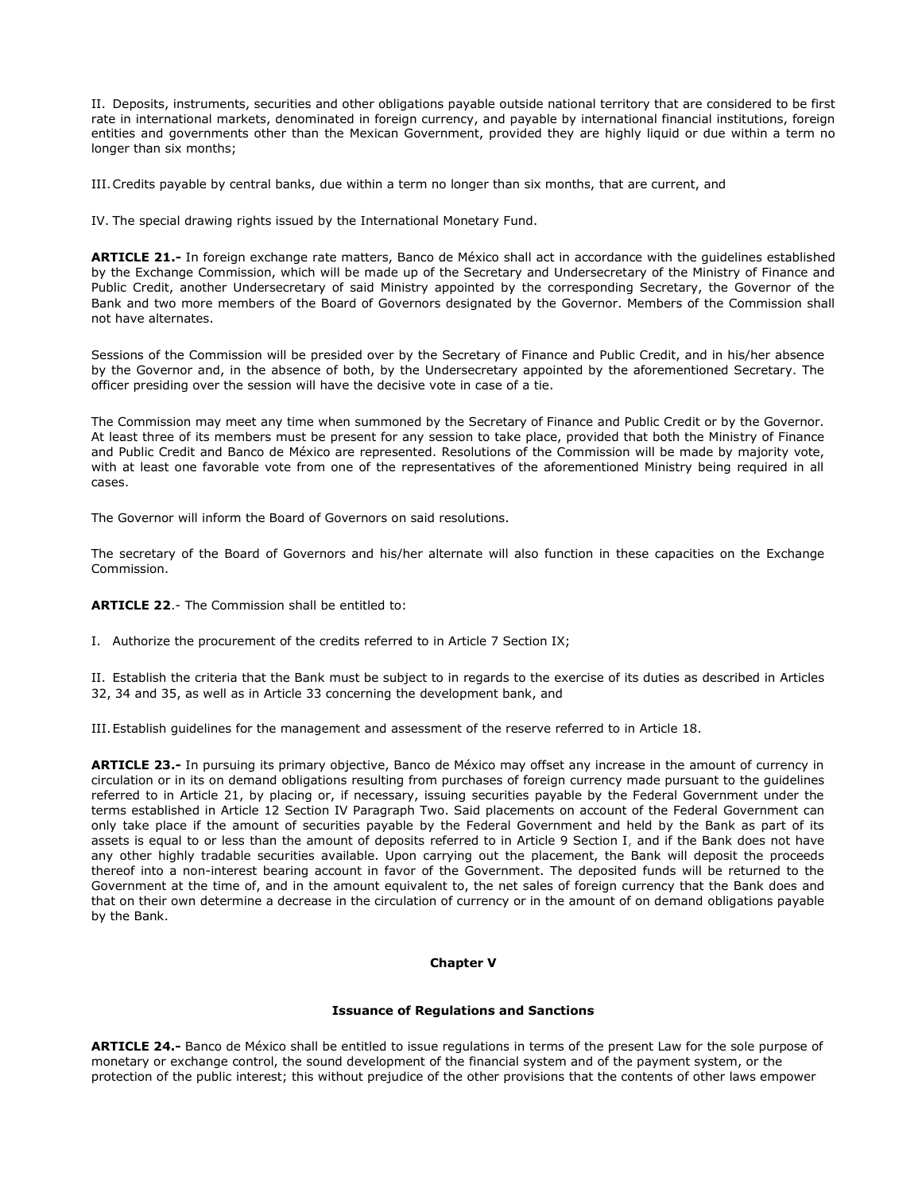II. Deposits, instruments, securities and other obligations payable outside national territory that are considered to be first rate in international markets, denominated in foreign currency, and payable by international financial institutions, foreign entities and governments other than the Mexican Government, provided they are highly liquid or due within a term no longer than six months;

III.Credits payable by central banks, due within a term no longer than six months, that are current, and

IV. The special drawing rights issued by the International Monetary Fund.

**ARTICLE 21.-** In foreign exchange rate matters, Banco de México shall act in accordance with the guidelines established by the Exchange Commission, which will be made up of the Secretary and Undersecretary of the Ministry of Finance and Public Credit, another Undersecretary of said Ministry appointed by the corresponding Secretary, the Governor of the Bank and two more members of the Board of Governors designated by the Governor. Members of the Commission shall not have alternates.

Sessions of the Commission will be presided over by the Secretary of Finance and Public Credit, and in his/her absence by the Governor and, in the absence of both, by the Undersecretary appointed by the aforementioned Secretary. The officer presiding over the session will have the decisive vote in case of a tie.

The Commission may meet any time when summoned by the Secretary of Finance and Public Credit or by the Governor. At least three of its members must be present for any session to take place, provided that both the Ministry of Finance and Public Credit and Banco de México are represented. Resolutions of the Commission will be made by majority vote, with at least one favorable vote from one of the representatives of the aforementioned Ministry being required in all cases.

The Governor will inform the Board of Governors on said resolutions.

The secretary of the Board of Governors and his/her alternate will also function in these capacities on the Exchange Commission.

**ARTICLE 22**.- The Commission shall be entitled to:

I. Authorize the procurement of the credits referred to in Article 7 Section IX;

II. Establish the criteria that the Bank must be subject to in regards to the exercise of its duties as described in Articles 32, 34 and 35, as well as in Article 33 concerning the development bank, and

III.Establish guidelines for the management and assessment of the reserve referred to in Article 18.

**ARTICLE 23.-** In pursuing its primary objective, Banco de México may offset any increase in the amount of currency in circulation or in its on demand obligations resulting from purchases of foreign currency made pursuant to the guidelines referred to in Article 21, by placing or, if necessary, issuing securities payable by the Federal Government under the terms established in Article 12 Section IV Paragraph Two. Said placements on account of the Federal Government can only take place if the amount of securities payable by the Federal Government and held by the Bank as part of its assets is equal to or less than the amount of deposits referred to in Article 9 Section I, and if the Bank does not have any other highly tradable securities available. Upon carrying out the placement, the Bank will deposit the proceeds thereof into a non-interest bearing account in favor of the Government. The deposited funds will be returned to the Government at the time of, and in the amount equivalent to, the net sales of foreign currency that the Bank does and that on their own determine a decrease in the circulation of currency or in the amount of on demand obligations payable by the Bank.

### **Chapter V**

#### **Issuance of Regulations and Sanctions**

**ARTICLE 24.-** Banco de México shall be entitled to issue regulations in terms of the present Law for the sole purpose of monetary or exchange control, the sound development of the financial system and of the payment system, or the protection of the public interest; this without prejudice of the other provisions that the contents of other laws empower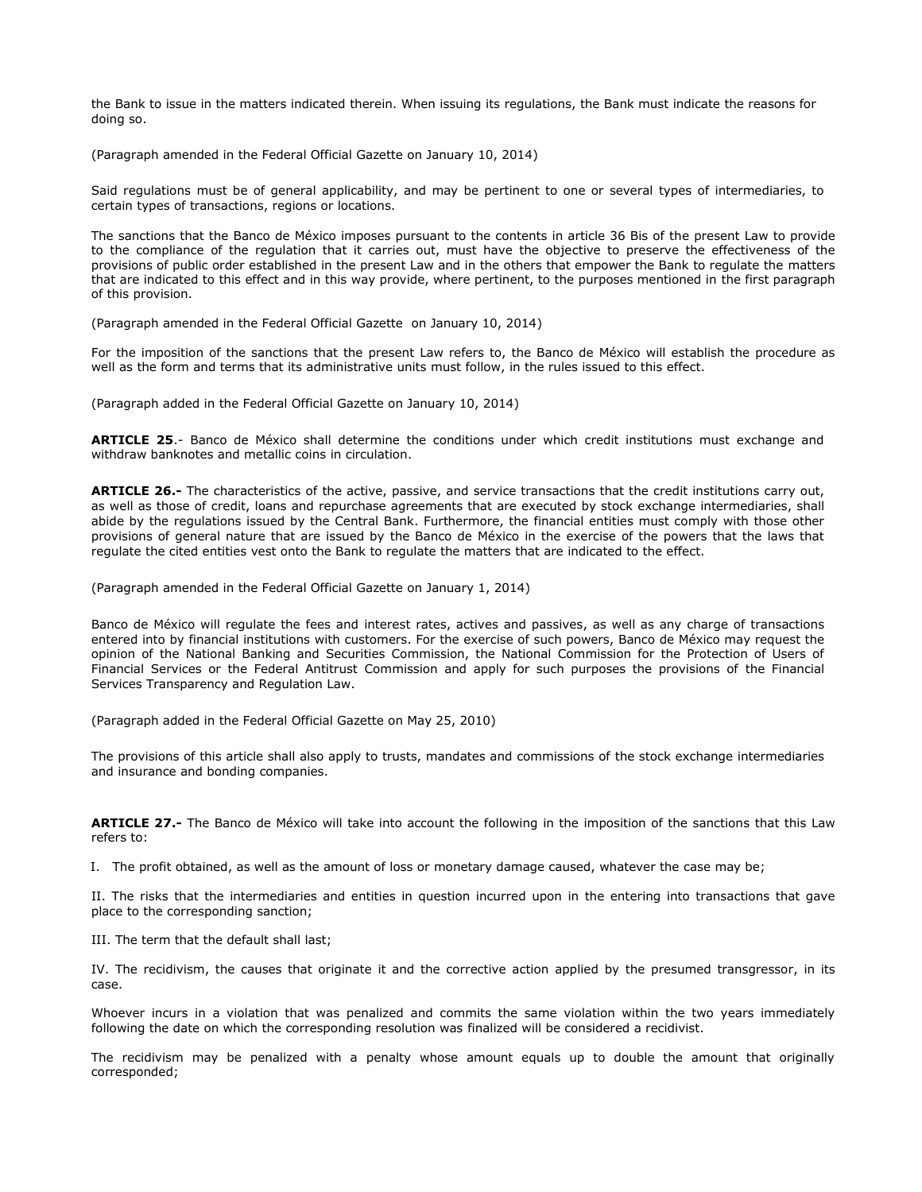the Bank to issue in the matters indicated therein. When issuing its regulations, the Bank must indicate the reasons for doing so.

(Paragraph amended in the Federal Official Gazette on January 10, 2014)

Said regulations must be of general applicability, and may be pertinent to one or several types of intermediaries, to certain types of transactions, regions or locations.

The sanctions that the Banco de México imposes pursuant to the contents in article 36 Bis of the present Law to provide to the compliance of the regulation that it carries out, must have the objective to preserve the effectiveness of the provisions of public order established in the present Law and in the others that empower the Bank to regulate the matters that are indicated to this effect and in this way provide, where pertinent, to the purposes mentioned in the first paragraph of this provision.

(Paragraph amended in the Federal Official Gazette on January 10, 2014)

For the imposition of the sanctions that the present Law refers to, the Banco de México will establish the procedure as well as the form and terms that its administrative units must follow, in the rules issued to this effect.

(Paragraph added in the Federal Official Gazette on January 10, 2014)

**ARTICLE 25**.- Banco de México shall determine the conditions under which credit institutions must exchange and withdraw banknotes and metallic coins in circulation.

**ARTICLE 26.-** The characteristics of the active, passive, and service transactions that the credit institutions carry out, as well as those of credit, loans and repurchase agreements that are executed by stock exchange intermediaries, shall abide by the regulations issued by the Central Bank. Furthermore, the financial entities must comply with those other provisions of general nature that are issued by the Banco de México in the exercise of the powers that the laws that regulate the cited entities vest onto the Bank to regulate the matters that are indicated to the effect.

(Paragraph amended in the Federal Official Gazette on January 1, 2014)

Banco de México will regulate the fees and interest rates, actives and passives, as well as any charge of transactions entered into by financial institutions with customers. For the exercise of such powers, Banco de México may request the opinion of the National Banking and Securities Commission, the National Commission for the Protection of Users of Financial Services or the Federal Antitrust Commission and apply for such purposes the provisions of the Financial Services Transparency and Regulation Law.

(Paragraph added in the Federal Official Gazette on May 25, 2010)

The provisions of this article shall also apply to trusts, mandates and commissions of the stock exchange intermediaries and insurance and bonding companies.

**ARTICLE 27.-** The Banco de México will take into account the following in the imposition of the sanctions that this Law refers to:

I. The profit obtained, as well as the amount of loss or monetary damage caused, whatever the case may be;

II. The risks that the intermediaries and entities in question incurred upon in the entering into transactions that gave place to the corresponding sanction;

III. The term that the default shall last;

IV. The recidivism, the causes that originate it and the corrective action applied by the presumed transgressor, in its case.

Whoever incurs in a violation that was penalized and commits the same violation within the two years immediately following the date on which the corresponding resolution was finalized will be considered a recidivist.

The recidivism may be penalized with a penalty whose amount equals up to double the amount that originally corresponded;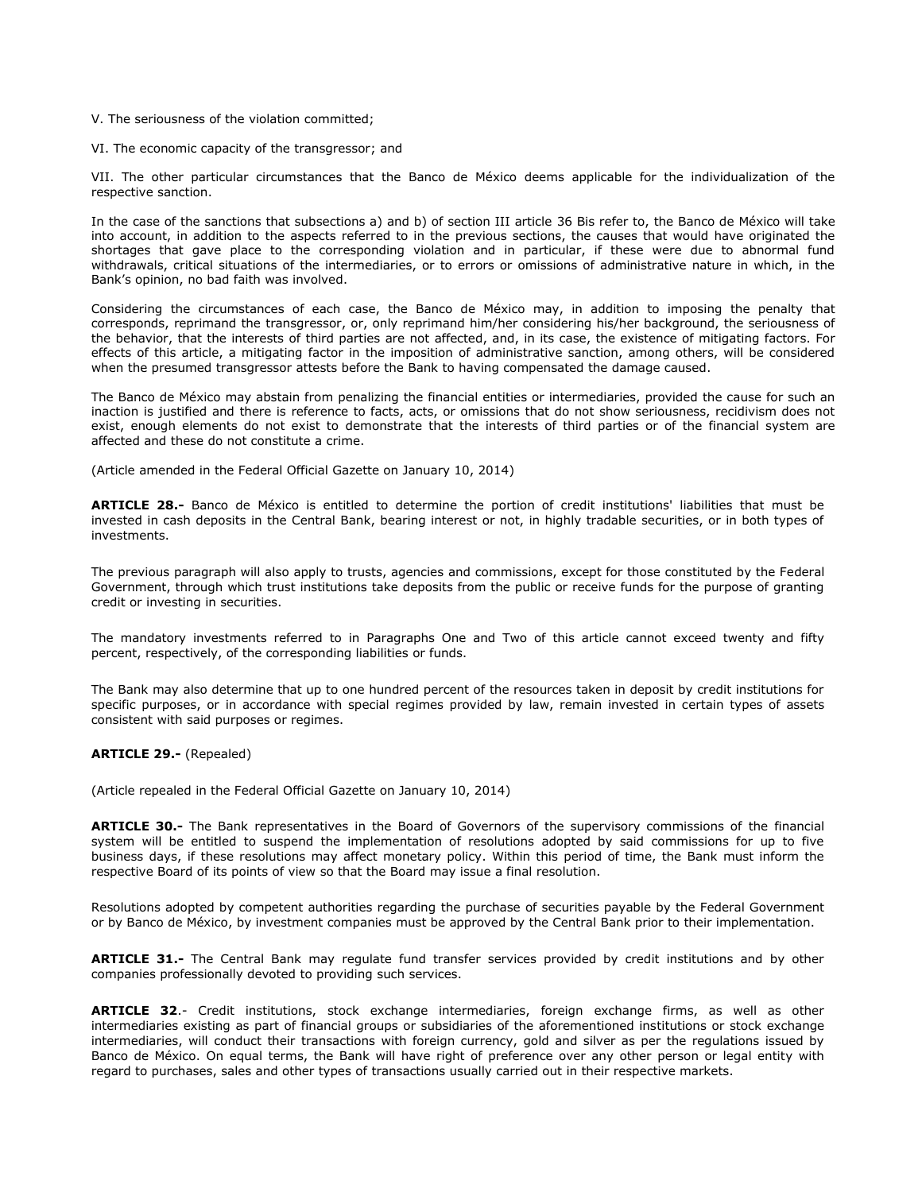V. The seriousness of the violation committed;

VI. The economic capacity of the transgressor; and

VII. The other particular circumstances that the Banco de México deems applicable for the individualization of the respective sanction.

In the case of the sanctions that subsections a) and b) of section III article 36 Bis refer to, the Banco de México will take into account, in addition to the aspects referred to in the previous sections, the causes that would have originated the shortages that gave place to the corresponding violation and in particular, if these were due to abnormal fund withdrawals, critical situations of the intermediaries, or to errors or omissions of administrative nature in which, in the Bank's opinion, no bad faith was involved.

Considering the circumstances of each case, the Banco de México may, in addition to imposing the penalty that corresponds, reprimand the transgressor, or, only reprimand him/her considering his/her background, the seriousness of the behavior, that the interests of third parties are not affected, and, in its case, the existence of mitigating factors. For effects of this article, a mitigating factor in the imposition of administrative sanction, among others, will be considered when the presumed transgressor attests before the Bank to having compensated the damage caused.

The Banco de México may abstain from penalizing the financial entities or intermediaries, provided the cause for such an inaction is justified and there is reference to facts, acts, or omissions that do not show seriousness, recidivism does not exist, enough elements do not exist to demonstrate that the interests of third parties or of the financial system are affected and these do not constitute a crime.

(Article amended in the Federal Official Gazette on January 10, 2014)

**ARTICLE 28.-** Banco de México is entitled to determine the portion of credit institutions' liabilities that must be invested in cash deposits in the Central Bank, bearing interest or not, in highly tradable securities, or in both types of investments.

The previous paragraph will also apply to trusts, agencies and commissions, except for those constituted by the Federal Government, through which trust institutions take deposits from the public or receive funds for the purpose of granting credit or investing in securities.

The mandatory investments referred to in Paragraphs One and Two of this article cannot exceed twenty and fifty percent, respectively, of the corresponding liabilities or funds.

The Bank may also determine that up to one hundred percent of the resources taken in deposit by credit institutions for specific purposes, or in accordance with special regimes provided by law, remain invested in certain types of assets consistent with said purposes or regimes.

**ARTICLE 29.-** (Repealed)

(Article repealed in the Federal Official Gazette on January 10, 2014)

**ARTICLE 30.-** The Bank representatives in the Board of Governors of the supervisory commissions of the financial system will be entitled to suspend the implementation of resolutions adopted by said commissions for up to five business days, if these resolutions may affect monetary policy. Within this period of time, the Bank must inform the respective Board of its points of view so that the Board may issue a final resolution.

Resolutions adopted by competent authorities regarding the purchase of securities payable by the Federal Government or by Banco de México, by investment companies must be approved by the Central Bank prior to their implementation.

**ARTICLE 31.-** The Central Bank may regulate fund transfer services provided by credit institutions and by other companies professionally devoted to providing such services.

**ARTICLE 32**.- Credit institutions, stock exchange intermediaries, foreign exchange firms, as well as other intermediaries existing as part of financial groups or subsidiaries of the aforementioned institutions or stock exchange intermediaries, will conduct their transactions with foreign currency, gold and silver as per the regulations issued by Banco de México. On equal terms, the Bank will have right of preference over any other person or legal entity with regard to purchases, sales and other types of transactions usually carried out in their respective markets.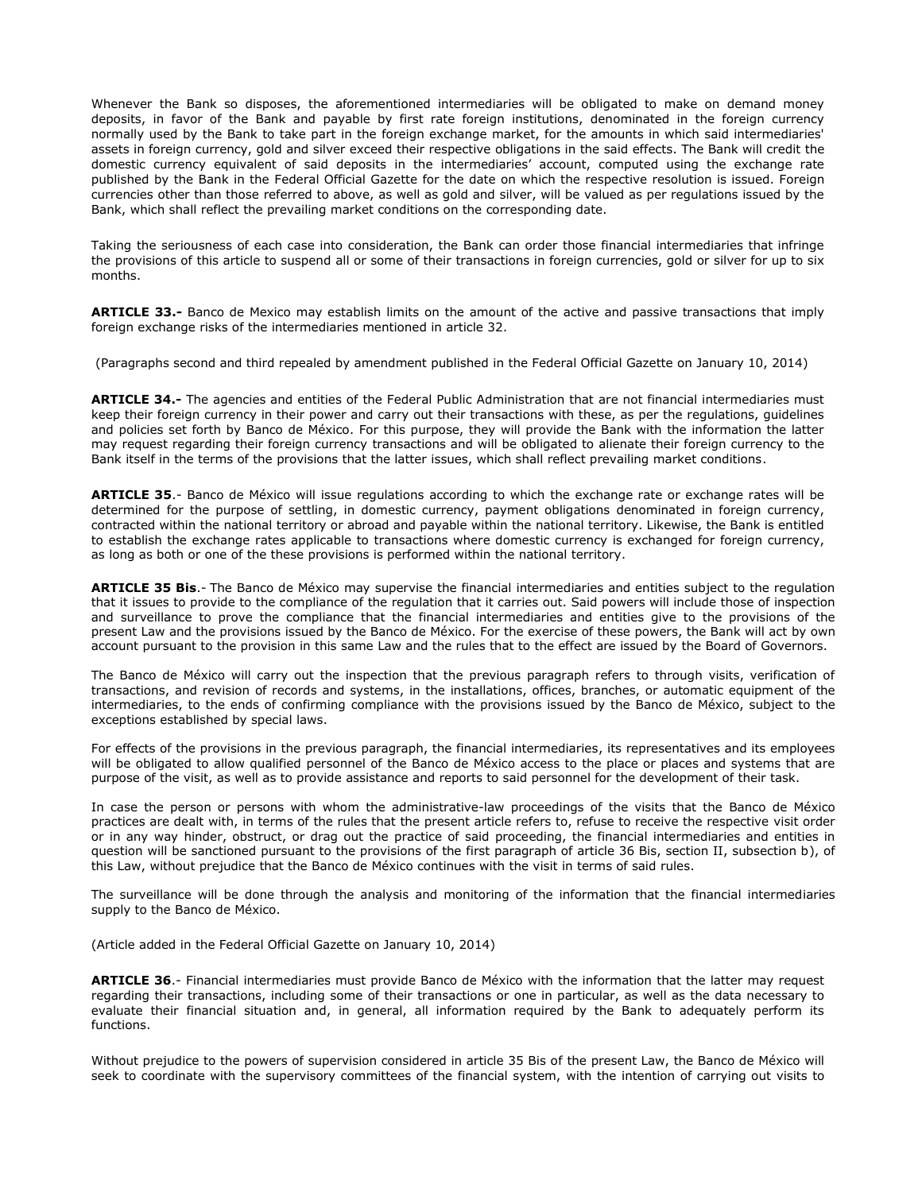Whenever the Bank so disposes, the aforementioned intermediaries will be obligated to make on demand money deposits, in favor of the Bank and payable by first rate foreign institutions, denominated in the foreign currency normally used by the Bank to take part in the foreign exchange market, for the amounts in which said intermediaries' assets in foreign currency, gold and silver exceed their respective obligations in the said effects. The Bank will credit the domestic currency equivalent of said deposits in the intermediaries' account, computed using the exchange rate published by the Bank in the Federal Official Gazette for the date on which the respective resolution is issued. Foreign currencies other than those referred to above, as well as gold and silver, will be valued as per regulations issued by the Bank, which shall reflect the prevailing market conditions on the corresponding date.

Taking the seriousness of each case into consideration, the Bank can order those financial intermediaries that infringe the provisions of this article to suspend all or some of their transactions in foreign currencies, gold or silver for up to six months.

**ARTICLE 33.-** Banco de Mexico may establish limits on the amount of the active and passive transactions that imply foreign exchange risks of the intermediaries mentioned in article 32.

(Paragraphs second and third repealed by amendment published in the Federal Official Gazette on January 10, 2014)

**ARTICLE 34.-** The agencies and entities of the Federal Public Administration that are not financial intermediaries must keep their foreign currency in their power and carry out their transactions with these, as per the regulations, guidelines and policies set forth by Banco de México. For this purpose, they will provide the Bank with the information the latter may request regarding their foreign currency transactions and will be obligated to alienate their foreign currency to the Bank itself in the terms of the provisions that the latter issues, which shall reflect prevailing market conditions.

**ARTICLE 35**.- Banco de México will issue regulations according to which the exchange rate or exchange rates will be determined for the purpose of settling, in domestic currency, payment obligations denominated in foreign currency, contracted within the national territory or abroad and payable within the national territory. Likewise, the Bank is entitled to establish the exchange rates applicable to transactions where domestic currency is exchanged for foreign currency, as long as both or one of the these provisions is performed within the national territory.

**ARTICLE 35 Bis**.- The Banco de México may supervise the financial intermediaries and entities subject to the regulation that it issues to provide to the compliance of the regulation that it carries out. Said powers will include those of inspection and surveillance to prove the compliance that the financial intermediaries and entities give to the provisions of the present Law and the provisions issued by the Banco de México. For the exercise of these powers, the Bank will act by own account pursuant to the provision in this same Law and the rules that to the effect are issued by the Board of Governors.

The Banco de México will carry out the inspection that the previous paragraph refers to through visits, verification of transactions, and revision of records and systems, in the installations, offices, branches, or automatic equipment of the intermediaries, to the ends of confirming compliance with the provisions issued by the Banco de México, subject to the exceptions established by special laws.

For effects of the provisions in the previous paragraph, the financial intermediaries, its representatives and its employees will be obligated to allow qualified personnel of the Banco de México access to the place or places and systems that are purpose of the visit, as well as to provide assistance and reports to said personnel for the development of their task.

In case the person or persons with whom the administrative-law proceedings of the visits that the Banco de México practices are dealt with, in terms of the rules that the present article refers to, refuse to receive the respective visit order or in any way hinder, obstruct, or drag out the practice of said proceeding, the financial intermediaries and entities in question will be sanctioned pursuant to the provisions of the first paragraph of article 36 Bis, section II, subsection b), of this Law, without prejudice that the Banco de México continues with the visit in terms of said rules.

The surveillance will be done through the analysis and monitoring of the information that the financial intermediaries supply to the Banco de México.

(Article added in the Federal Official Gazette on January 10, 2014)

**ARTICLE 36**.- Financial intermediaries must provide Banco de México with the information that the latter may request regarding their transactions, including some of their transactions or one in particular, as well as the data necessary to evaluate their financial situation and, in general, all information required by the Bank to adequately perform its functions.

Without prejudice to the powers of supervision considered in article 35 Bis of the present Law, the Banco de México will seek to coordinate with the supervisory committees of the financial system, with the intention of carrying out visits to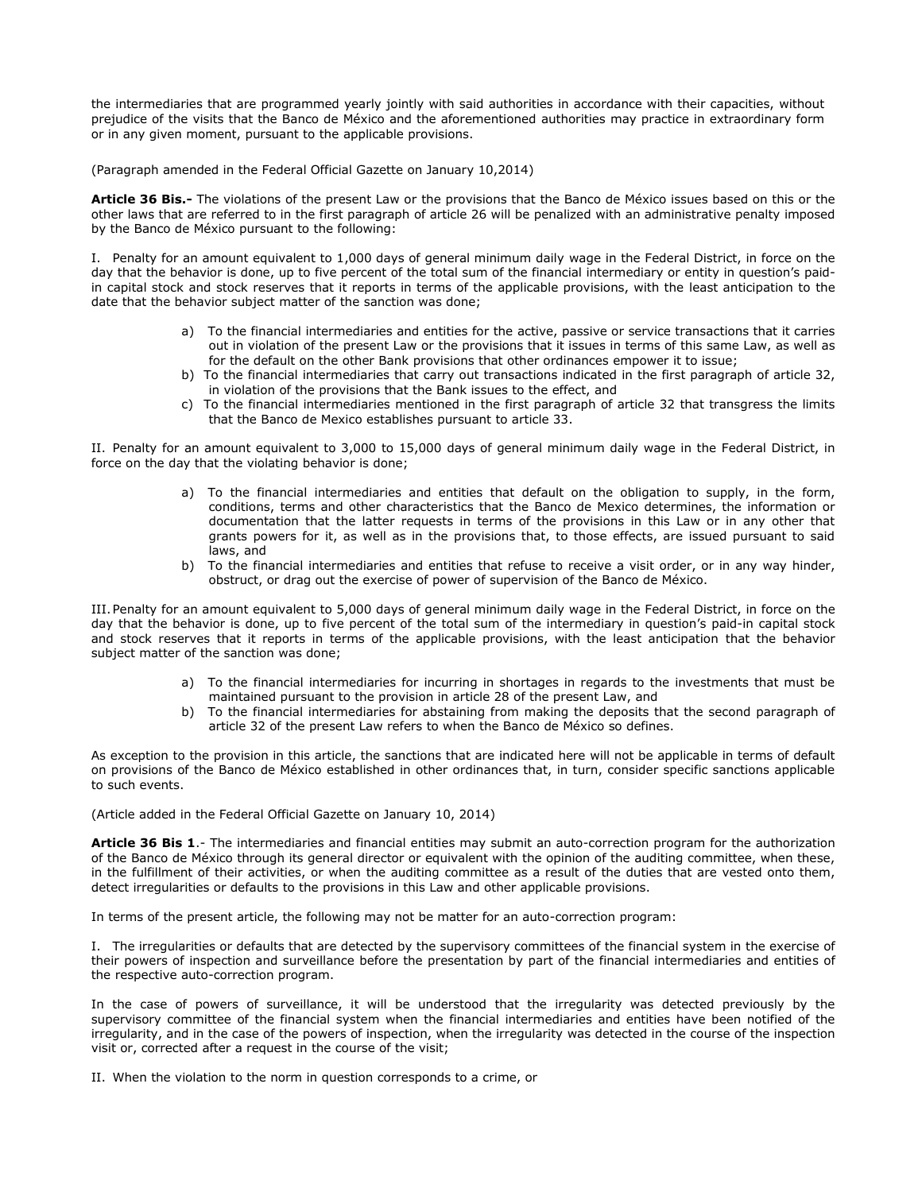the intermediaries that are programmed yearly jointly with said authorities in accordance with their capacities, without prejudice of the visits that the Banco de México and the aforementioned authorities may practice in extraordinary form or in any given moment, pursuant to the applicable provisions.

(Paragraph amended in the Federal Official Gazette on January 10,2014)

**Article 36 Bis.-** The violations of the present Law or the provisions that the Banco de México issues based on this or the other laws that are referred to in the first paragraph of article 26 will be penalized with an administrative penalty imposed by the Banco de México pursuant to the following:

I. Penalty for an amount equivalent to 1,000 days of general minimum daily wage in the Federal District, in force on the day that the behavior is done, up to five percent of the total sum of the financial intermediary or entity in question's paidin capital stock and stock reserves that it reports in terms of the applicable provisions, with the least anticipation to the date that the behavior subject matter of the sanction was done;

- a) To the financial intermediaries and entities for the active, passive or service transactions that it carries out in violation of the present Law or the provisions that it issues in terms of this same Law, as well as for the default on the other Bank provisions that other ordinances empower it to issue;
- b) To the financial intermediaries that carry out transactions indicated in the first paragraph of article 32, in violation of the provisions that the Bank issues to the effect, and
- c) To the financial intermediaries mentioned in the first paragraph of article 32 that transgress the limits that the Banco de Mexico establishes pursuant to article 33.

II. Penalty for an amount equivalent to 3,000 to 15,000 days of general minimum daily wage in the Federal District, in force on the day that the violating behavior is done;

- a) To the financial intermediaries and entities that default on the obligation to supply, in the form, conditions, terms and other characteristics that the Banco de Mexico determines, the information or documentation that the latter requests in terms of the provisions in this Law or in any other that grants powers for it, as well as in the provisions that, to those effects, are issued pursuant to said laws, and
- b) To the financial intermediaries and entities that refuse to receive a visit order, or in any way hinder, obstruct, or drag out the exercise of power of supervision of the Banco de México.

III.Penalty for an amount equivalent to 5,000 days of general minimum daily wage in the Federal District, in force on the day that the behavior is done, up to five percent of the total sum of the intermediary in question's paid-in capital stock and stock reserves that it reports in terms of the applicable provisions, with the least anticipation that the behavior subject matter of the sanction was done;

- a) To the financial intermediaries for incurring in shortages in regards to the investments that must be maintained pursuant to the provision in article 28 of the present Law, and
- To the financial intermediaries for abstaining from making the deposits that the second paragraph of article 32 of the present Law refers to when the Banco de México so defines.

As exception to the provision in this article, the sanctions that are indicated here will not be applicable in terms of default on provisions of the Banco de México established in other ordinances that, in turn, consider specific sanctions applicable to such events.

(Article added in the Federal Official Gazette on January 10, 2014)

**Article 36 Bis 1**.- The intermediaries and financial entities may submit an auto-correction program for the authorization of the Banco de México through its general director or equivalent with the opinion of the auditing committee, when these, in the fulfillment of their activities, or when the auditing committee as a result of the duties that are vested onto them, detect irregularities or defaults to the provisions in this Law and other applicable provisions.

In terms of the present article, the following may not be matter for an auto-correction program:

I. The irregularities or defaults that are detected by the supervisory committees of the financial system in the exercise of their powers of inspection and surveillance before the presentation by part of the financial intermediaries and entities of the respective auto-correction program.

In the case of powers of surveillance, it will be understood that the irregularity was detected previously by the supervisory committee of the financial system when the financial intermediaries and entities have been notified of the irregularity, and in the case of the powers of inspection, when the irregularity was detected in the course of the inspection visit or, corrected after a request in the course of the visit;

II. When the violation to the norm in question corresponds to a crime, or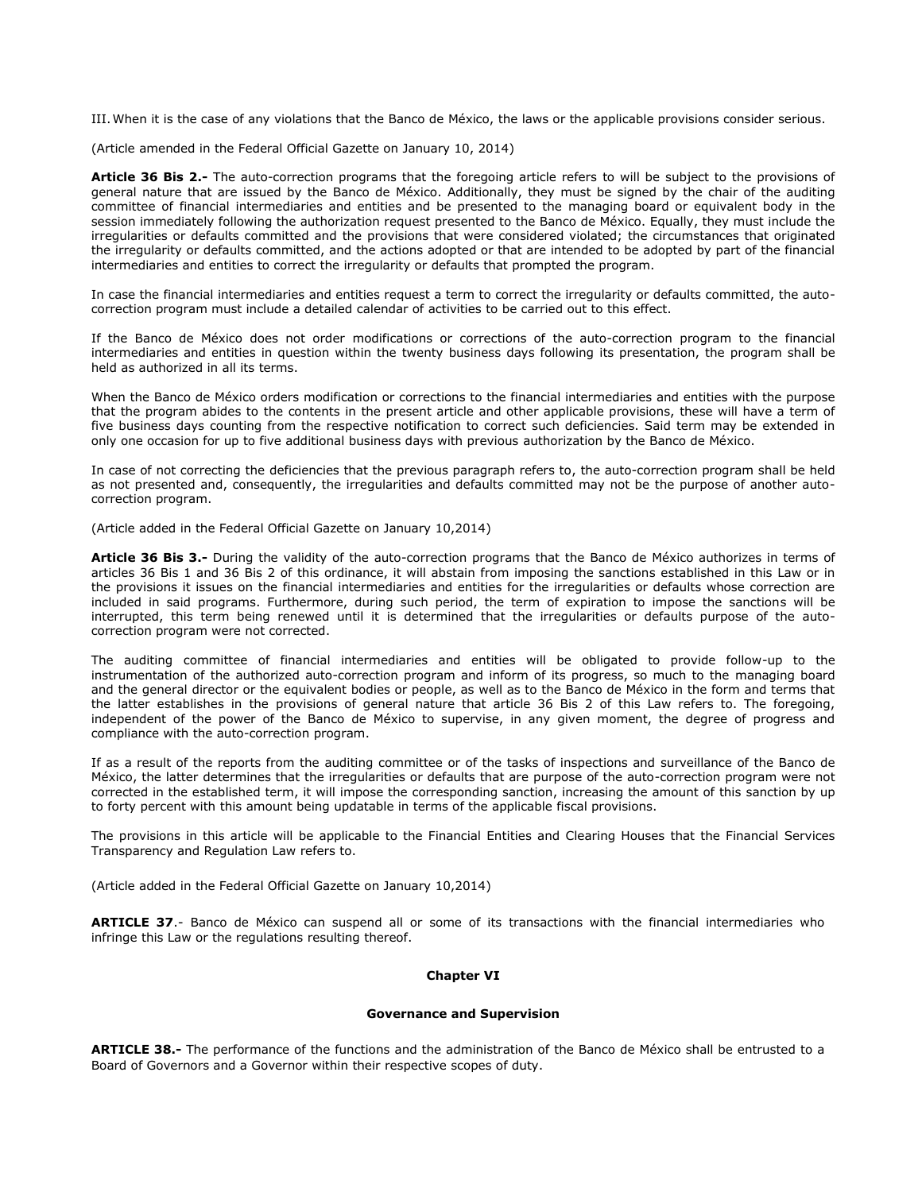III.When it is the case of any violations that the Banco de México, the laws or the applicable provisions consider serious.

(Article amended in the Federal Official Gazette on January 10, 2014)

**Article 36 Bis 2.-** The auto-correction programs that the foregoing article refers to will be subject to the provisions of general nature that are issued by the Banco de México. Additionally, they must be signed by the chair of the auditing committee of financial intermediaries and entities and be presented to the managing board or equivalent body in the session immediately following the authorization request presented to the Banco de México. Equally, they must include the irregularities or defaults committed and the provisions that were considered violated; the circumstances that originated the irregularity or defaults committed, and the actions adopted or that are intended to be adopted by part of the financial intermediaries and entities to correct the irregularity or defaults that prompted the program.

In case the financial intermediaries and entities request a term to correct the irregularity or defaults committed, the autocorrection program must include a detailed calendar of activities to be carried out to this effect.

If the Banco de México does not order modifications or corrections of the auto-correction program to the financial intermediaries and entities in question within the twenty business days following its presentation, the program shall be held as authorized in all its terms.

When the Banco de México orders modification or corrections to the financial intermediaries and entities with the purpose that the program abides to the contents in the present article and other applicable provisions, these will have a term of five business days counting from the respective notification to correct such deficiencies. Said term may be extended in only one occasion for up to five additional business days with previous authorization by the Banco de México.

In case of not correcting the deficiencies that the previous paragraph refers to, the auto-correction program shall be held as not presented and, consequently, the irregularities and defaults committed may not be the purpose of another autocorrection program.

(Article added in the Federal Official Gazette on January 10,2014)

**Article 36 Bis 3.-** During the validity of the auto-correction programs that the Banco de México authorizes in terms of articles 36 Bis 1 and 36 Bis 2 of this ordinance, it will abstain from imposing the sanctions established in this Law or in the provisions it issues on the financial intermediaries and entities for the irregularities or defaults whose correction are included in said programs. Furthermore, during such period, the term of expiration to impose the sanctions will be interrupted, this term being renewed until it is determined that the irregularities or defaults purpose of the autocorrection program were not corrected.

The auditing committee of financial intermediaries and entities will be obligated to provide follow-up to the instrumentation of the authorized auto-correction program and inform of its progress, so much to the managing board and the general director or the equivalent bodies or people, as well as to the Banco de México in the form and terms that the latter establishes in the provisions of general nature that article 36 Bis 2 of this Law refers to. The foregoing, independent of the power of the Banco de México to supervise, in any given moment, the degree of progress and compliance with the auto-correction program.

If as a result of the reports from the auditing committee or of the tasks of inspections and surveillance of the Banco de México, the latter determines that the irregularities or defaults that are purpose of the auto-correction program were not corrected in the established term, it will impose the corresponding sanction, increasing the amount of this sanction by up to forty percent with this amount being updatable in terms of the applicable fiscal provisions.

The provisions in this article will be applicable to the Financial Entities and Clearing Houses that the Financial Services Transparency and Regulation Law refers to.

(Article added in the Federal Official Gazette on January 10,2014)

**ARTICLE 37**.- Banco de México can suspend all or some of its transactions with the financial intermediaries who infringe this Law or the regulations resulting thereof.

### **Chapter VI**

### **Governance and Supervision**

**ARTICLE 38.-** The performance of the functions and the administration of the Banco de México shall be entrusted to a Board of Governors and a Governor within their respective scopes of duty.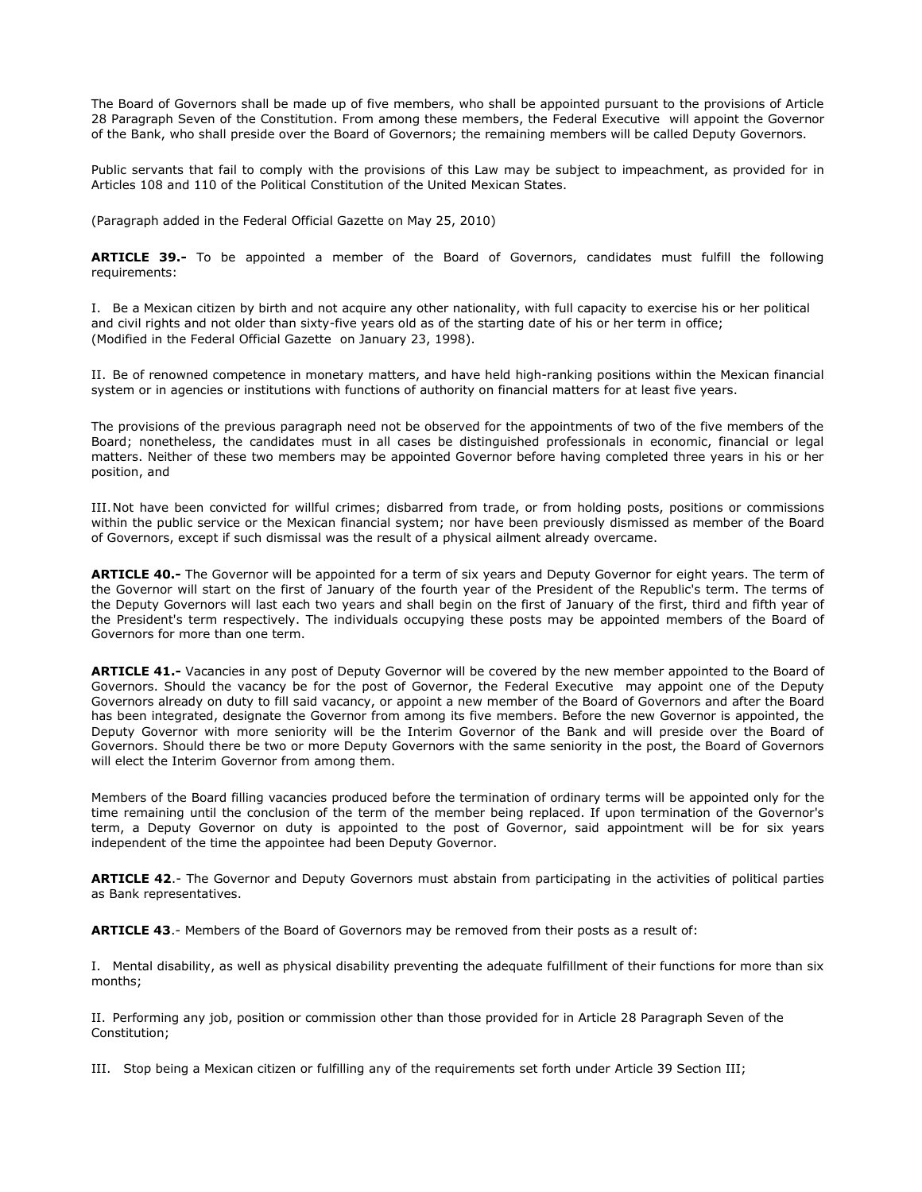The Board of Governors shall be made up of five members, who shall be appointed pursuant to the provisions of Article 28 Paragraph Seven of the Constitution. From among these members, the Federal Executive will appoint the Governor of the Bank, who shall preside over the Board of Governors; the remaining members will be called Deputy Governors.

Public servants that fail to comply with the provisions of this Law may be subject to impeachment, as provided for in Articles 108 and 110 of the Political Constitution of the United Mexican States.

(Paragraph added in the Federal Official Gazette on May 25, 2010)

**ARTICLE 39.-** To be appointed a member of the Board of Governors, candidates must fulfill the following requirements:

I. Be a Mexican citizen by birth and not acquire any other nationality, with full capacity to exercise his or her political and civil rights and not older than sixty-five years old as of the starting date of his or her term in office; (Modified in the Federal Official Gazette on January 23, 1998).

II. Be of renowned competence in monetary matters, and have held high-ranking positions within the Mexican financial system or in agencies or institutions with functions of authority on financial matters for at least five years.

The provisions of the previous paragraph need not be observed for the appointments of two of the five members of the Board; nonetheless, the candidates must in all cases be distinguished professionals in economic, financial or legal matters. Neither of these two members may be appointed Governor before having completed three years in his or her position, and

III.Not have been convicted for willful crimes; disbarred from trade, or from holding posts, positions or commissions within the public service or the Mexican financial system; nor have been previously dismissed as member of the Board of Governors, except if such dismissal was the result of a physical ailment already overcame.

**ARTICLE 40.-** The Governor will be appointed for a term of six years and Deputy Governor for eight years. The term of the Governor will start on the first of January of the fourth year of the President of the Republic's term. The terms of the Deputy Governors will last each two years and shall begin on the first of January of the first, third and fifth year of the President's term respectively. The individuals occupying these posts may be appointed members of the Board of Governors for more than one term.

**ARTICLE 41.-** Vacancies in any post of Deputy Governor will be covered by the new member appointed to the Board of Governors. Should the vacancy be for the post of Governor, the Federal Executive may appoint one of the Deputy Governors already on duty to fill said vacancy, or appoint a new member of the Board of Governors and after the Board has been integrated, designate the Governor from among its five members. Before the new Governor is appointed, the Deputy Governor with more seniority will be the Interim Governor of the Bank and will preside over the Board of Governors. Should there be two or more Deputy Governors with the same seniority in the post, the Board of Governors will elect the Interim Governor from among them.

Members of the Board filling vacancies produced before the termination of ordinary terms will be appointed only for the time remaining until the conclusion of the term of the member being replaced. If upon termination of the Governor's term, a Deputy Governor on duty is appointed to the post of Governor, said appointment will be for six years independent of the time the appointee had been Deputy Governor.

**ARTICLE 42**.- The Governor and Deputy Governors must abstain from participating in the activities of political parties as Bank representatives.

**ARTICLE 43**.- Members of the Board of Governors may be removed from their posts as a result of:

I. Mental disability, as well as physical disability preventing the adequate fulfillment of their functions for more than six months;

II. Performing any job, position or commission other than those provided for in Article 28 Paragraph Seven of the Constitution;

III. Stop being a Mexican citizen or fulfilling any of the requirements set forth under Article 39 Section III;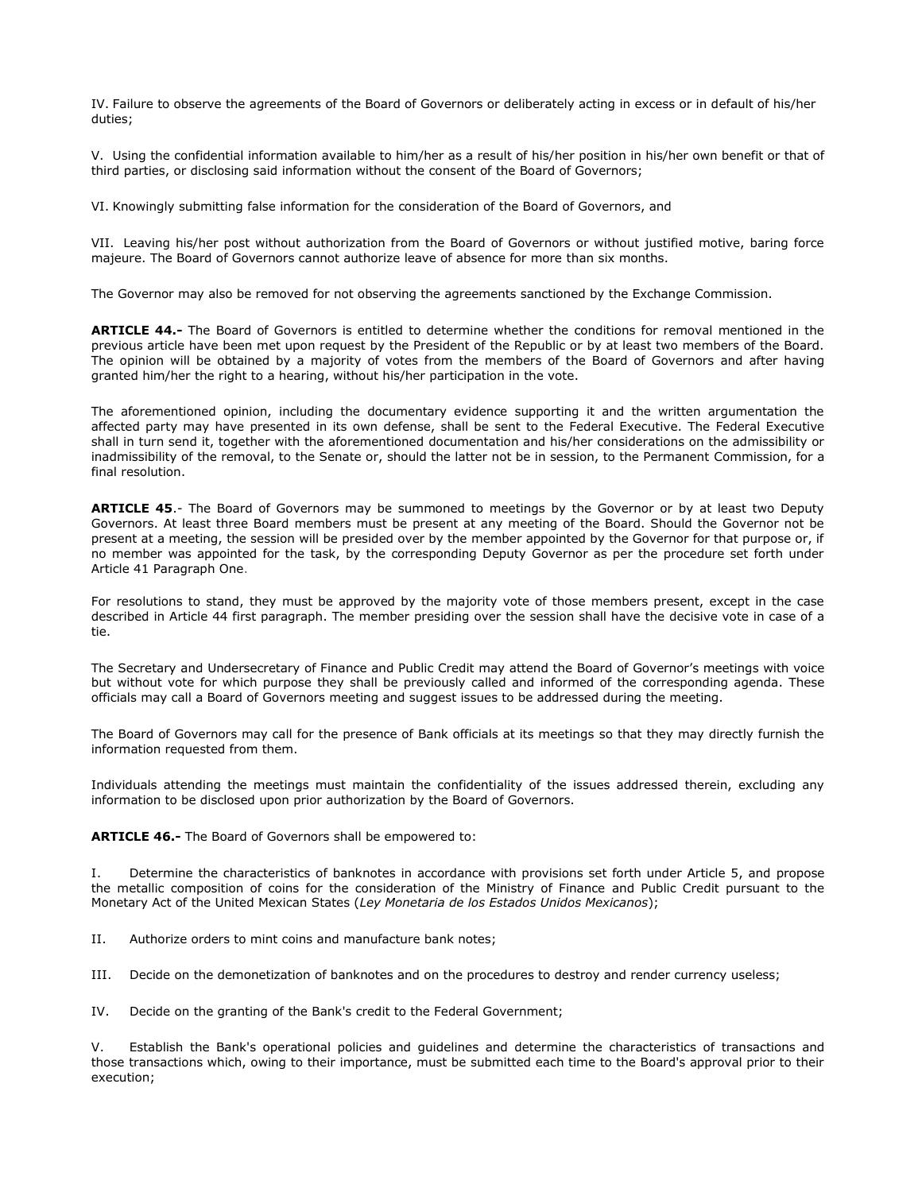IV. Failure to observe the agreements of the Board of Governors or deliberately acting in excess or in default of his/her duties;

V. Using the confidential information available to him/her as a result of his/her position in his/her own benefit or that of third parties, or disclosing said information without the consent of the Board of Governors;

VI. Knowingly submitting false information for the consideration of the Board of Governors, and

VII. Leaving his/her post without authorization from the Board of Governors or without justified motive, baring force majeure. The Board of Governors cannot authorize leave of absence for more than six months.

The Governor may also be removed for not observing the agreements sanctioned by the Exchange Commission.

**ARTICLE 44.-** The Board of Governors is entitled to determine whether the conditions for removal mentioned in the previous article have been met upon request by the President of the Republic or by at least two members of the Board. The opinion will be obtained by a majority of votes from the members of the Board of Governors and after having granted him/her the right to a hearing, without his/her participation in the vote.

The aforementioned opinion, including the documentary evidence supporting it and the written argumentation the affected party may have presented in its own defense, shall be sent to the Federal Executive. The Federal Executive shall in turn send it, together with the aforementioned documentation and his/her considerations on the admissibility or inadmissibility of the removal, to the Senate or, should the latter not be in session, to the Permanent Commission, for a final resolution.

**ARTICLE 45**.- The Board of Governors may be summoned to meetings by the Governor or by at least two Deputy Governors. At least three Board members must be present at any meeting of the Board. Should the Governor not be present at a meeting, the session will be presided over by the member appointed by the Governor for that purpose or, if no member was appointed for the task, by the corresponding Deputy Governor as per the procedure set forth under Article 41 Paragraph One.

For resolutions to stand, they must be approved by the majority vote of those members present, except in the case described in Article 44 first paragraph. The member presiding over the session shall have the decisive vote in case of a tie.

The Secretary and Undersecretary of Finance and Public Credit may attend the Board of Governor's meetings with voice but without vote for which purpose they shall be previously called and informed of the corresponding agenda. These officials may call a Board of Governors meeting and suggest issues to be addressed during the meeting.

The Board of Governors may call for the presence of Bank officials at its meetings so that they may directly furnish the information requested from them.

Individuals attending the meetings must maintain the confidentiality of the issues addressed therein, excluding any information to be disclosed upon prior authorization by the Board of Governors.

**ARTICLE 46.-** The Board of Governors shall be empowered to:

I. Determine the characteristics of banknotes in accordance with provisions set forth under Article 5, and propose the metallic composition of coins for the consideration of the Ministry of Finance and Public Credit pursuant to the Monetary Act of the United Mexican States (*Ley Monetaria de los Estados Unidos Mexicanos*);

II. Authorize orders to mint coins and manufacture bank notes;

III. Decide on the demonetization of banknotes and on the procedures to destroy and render currency useless;

IV. Decide on the granting of the Bank's credit to the Federal Government;

Establish the Bank's operational policies and quidelines and determine the characteristics of transactions and those transactions which, owing to their importance, must be submitted each time to the Board's approval prior to their execution;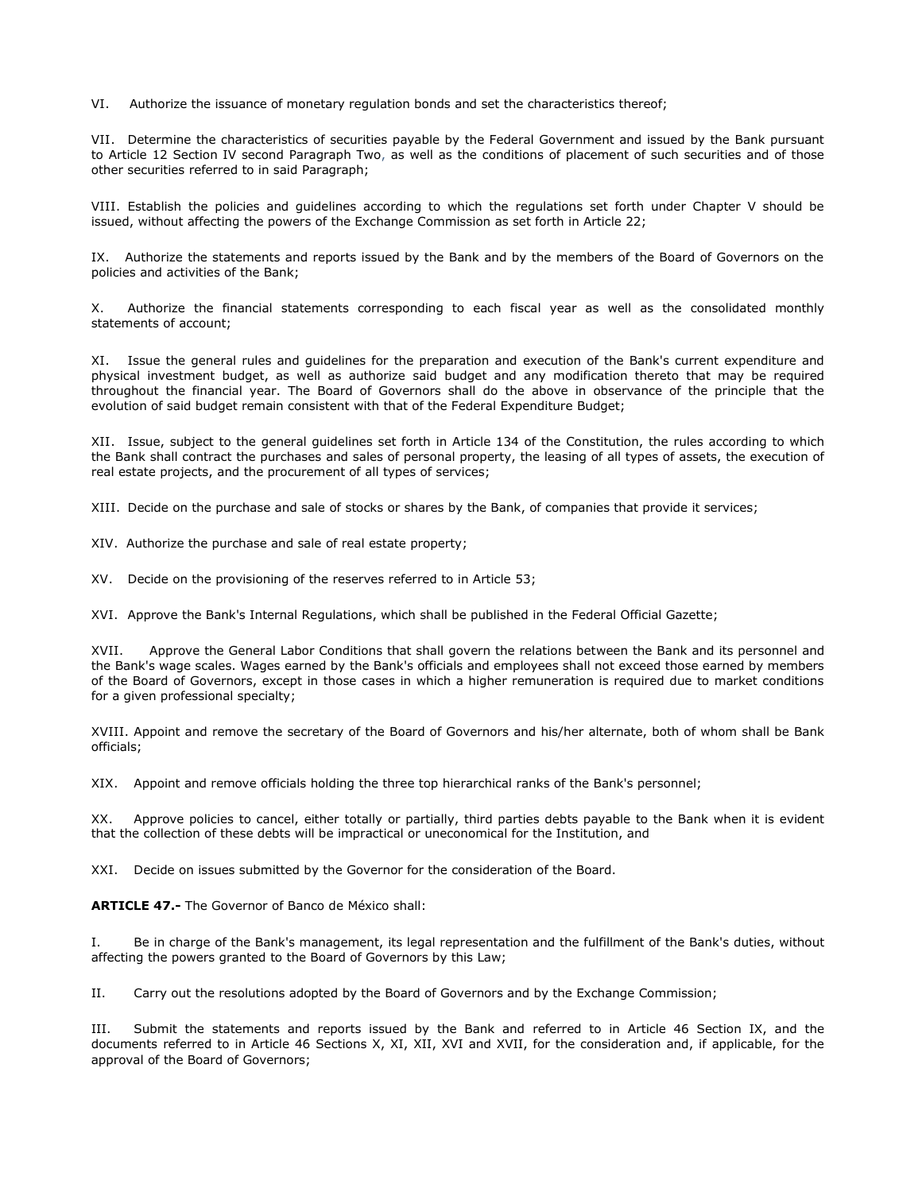VI. Authorize the issuance of monetary regulation bonds and set the characteristics thereof;

VII. Determine the characteristics of securities payable by the Federal Government and issued by the Bank pursuant to Article 12 Section IV second Paragraph Two, as well as the conditions of placement of such securities and of those other securities referred to in said Paragraph;

VIII. Establish the policies and guidelines according to which the regulations set forth under Chapter V should be issued, without affecting the powers of the Exchange Commission as set forth in Article 22;

IX. Authorize the statements and reports issued by the Bank and by the members of the Board of Governors on the policies and activities of the Bank;

X. Authorize the financial statements corresponding to each fiscal year as well as the consolidated monthly statements of account;

XI. Issue the general rules and guidelines for the preparation and execution of the Bank's current expenditure and physical investment budget, as well as authorize said budget and any modification thereto that may be required throughout the financial year. The Board of Governors shall do the above in observance of the principle that the evolution of said budget remain consistent with that of the Federal Expenditure Budget;

XII. Issue, subject to the general guidelines set forth in Article 134 of the Constitution, the rules according to which the Bank shall contract the purchases and sales of personal property, the leasing of all types of assets, the execution of real estate projects, and the procurement of all types of services;

XIII. Decide on the purchase and sale of stocks or shares by the Bank, of companies that provide it services;

XIV. Authorize the purchase and sale of real estate property;

XV. Decide on the provisioning of the reserves referred to in Article 53;

XVI. Approve the Bank's Internal Regulations, which shall be published in the Federal Official Gazette;

XVII. Approve the General Labor Conditions that shall govern the relations between the Bank and its personnel and the Bank's wage scales. Wages earned by the Bank's officials and employees shall not exceed those earned by members of the Board of Governors, except in those cases in which a higher remuneration is required due to market conditions for a given professional specialty;

XVIII. Appoint and remove the secretary of the Board of Governors and his/her alternate, both of whom shall be Bank officials;

XIX. Appoint and remove officials holding the three top hierarchical ranks of the Bank's personnel;

XX. Approve policies to cancel, either totally or partially, third parties debts payable to the Bank when it is evident that the collection of these debts will be impractical or uneconomical for the Institution, and

XXI. Decide on issues submitted by the Governor for the consideration of the Board.

**ARTICLE 47.-** The Governor of Banco de México shall:

I. Be in charge of the Bank's management, its legal representation and the fulfillment of the Bank's duties, without affecting the powers granted to the Board of Governors by this Law;

II. Carry out the resolutions adopted by the Board of Governors and by the Exchange Commission;

III. Submit the statements and reports issued by the Bank and referred to in Article 46 Section IX, and the documents referred to in Article 46 Sections X, XI, XII, XVI and XVII, for the consideration and, if applicable, for the approval of the Board of Governors;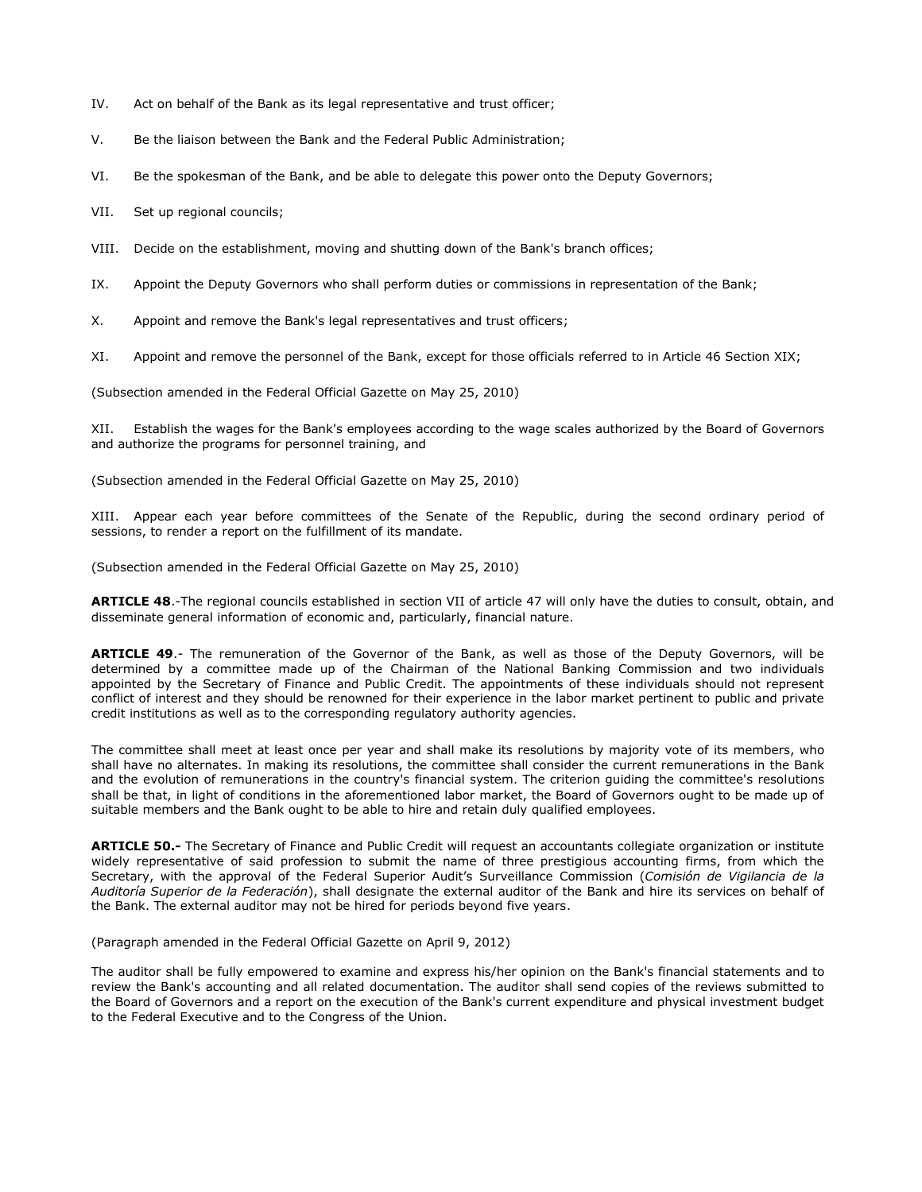- IV. Act on behalf of the Bank as its legal representative and trust officer;
- V. Be the liaison between the Bank and the Federal Public Administration;
- VI. Be the spokesman of the Bank, and be able to delegate this power onto the Deputy Governors;
- VII. Set up regional councils;
- VIII. Decide on the establishment, moving and shutting down of the Bank's branch offices;
- IX. Appoint the Deputy Governors who shall perform duties or commissions in representation of the Bank;
- X. Appoint and remove the Bank's legal representatives and trust officers;
- XI. Appoint and remove the personnel of the Bank, except for those officials referred to in Article 46 Section XIX;

(Subsection amended in the Federal Official Gazette on May 25, 2010)

Establish the wages for the Bank's employees according to the wage scales authorized by the Board of Governors and authorize the programs for personnel training, and

(Subsection amended in the Federal Official Gazette on May 25, 2010)

XIII. Appear each year before committees of the Senate of the Republic, during the second ordinary period of sessions, to render a report on the fulfillment of its mandate.

(Subsection amended in the Federal Official Gazette on May 25, 2010)

**ARTICLE 48**.-The regional councils established in section VII of article 47 will only have the duties to consult, obtain, and disseminate general information of economic and, particularly, financial nature.

**ARTICLE 49**.- The remuneration of the Governor of the Bank, as well as those of the Deputy Governors, will be determined by a committee made up of the Chairman of the National Banking Commission and two individuals appointed by the Secretary of Finance and Public Credit. The appointments of these individuals should not represent conflict of interest and they should be renowned for their experience in the labor market pertinent to public and private credit institutions as well as to the corresponding regulatory authority agencies.

The committee shall meet at least once per year and shall make its resolutions by majority vote of its members, who shall have no alternates. In making its resolutions, the committee shall consider the current remunerations in the Bank and the evolution of remunerations in the country's financial system. The criterion guiding the committee's resolutions shall be that, in light of conditions in the aforementioned labor market, the Board of Governors ought to be made up of suitable members and the Bank ought to be able to hire and retain duly qualified employees.

**ARTICLE 50.-** The Secretary of Finance and Public Credit will request an accountants collegiate organization or institute widely representative of said profession to submit the name of three prestigious accounting firms, from which the Secretary, with the approval of the Federal Superior Audit's Surveillance Commission (*Comisión de Vigilancia de la Auditoría Superior de la Federación*), shall designate the external auditor of the Bank and hire its services on behalf of the Bank. The external auditor may not be hired for periods beyond five years.

(Paragraph amended in the Federal Official Gazette on April 9, 2012)

The auditor shall be fully empowered to examine and express his/her opinion on the Bank's financial statements and to review the Bank's accounting and all related documentation. The auditor shall send copies of the reviews submitted to the Board of Governors and a report on the execution of the Bank's current expenditure and physical investment budget to the Federal Executive and to the Congress of the Union.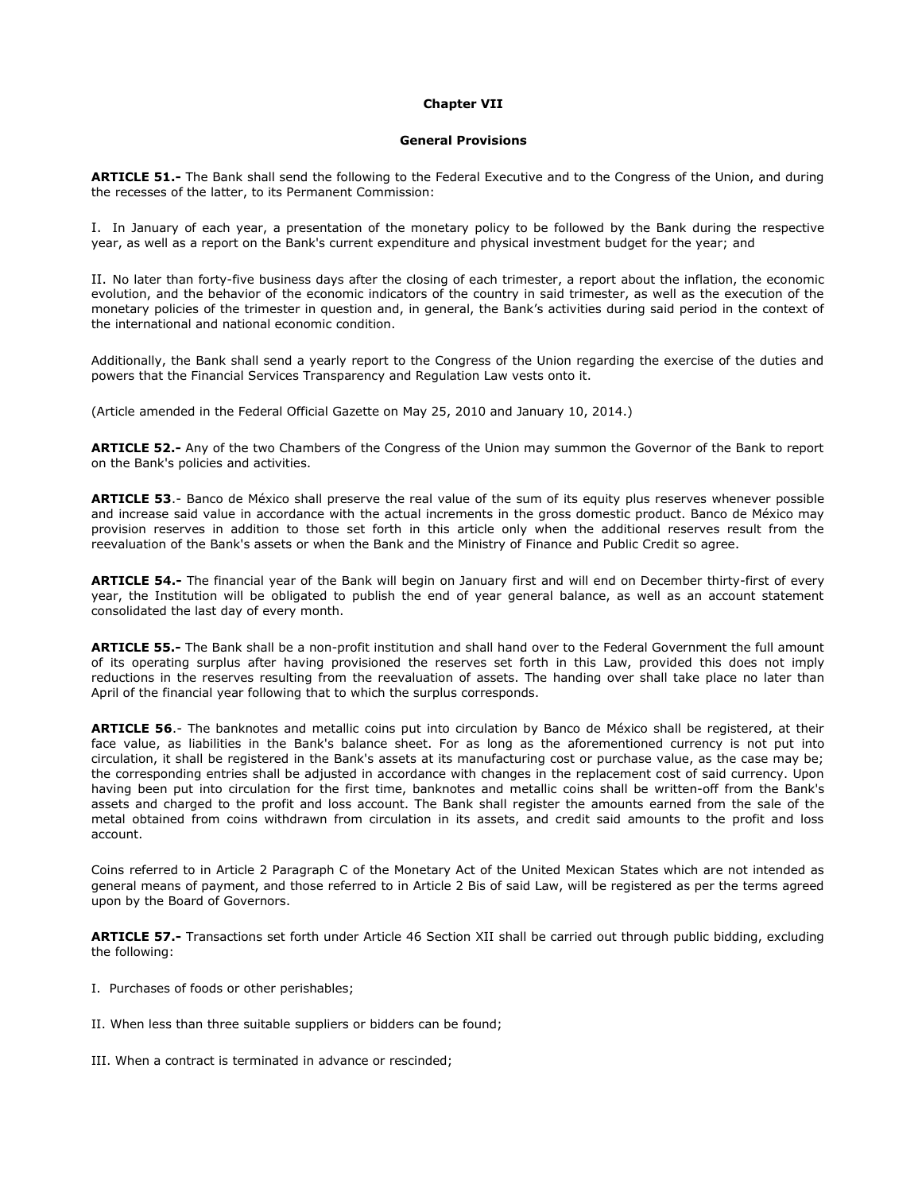### **Chapter VII**

### **General Provisions**

**ARTICLE 51.-** The Bank shall send the following to the Federal Executive and to the Congress of the Union, and during the recesses of the latter, to its Permanent Commission:

I. In January of each year, a presentation of the monetary policy to be followed by the Bank during the respective year, as well as a report on the Bank's current expenditure and physical investment budget for the year; and

II. No later than forty-five business days after the closing of each trimester, a report about the inflation, the economic evolution, and the behavior of the economic indicators of the country in said trimester, as well as the execution of the monetary policies of the trimester in question and, in general, the Bank's activities during said period in the context of the international and national economic condition.

Additionally, the Bank shall send a yearly report to the Congress of the Union regarding the exercise of the duties and powers that the Financial Services Transparency and Regulation Law vests onto it.

(Article amended in the Federal Official Gazette on May 25, 2010 and January 10, 2014.)

**ARTICLE 52.-** Any of the two Chambers of the Congress of the Union may summon the Governor of the Bank to report on the Bank's policies and activities.

**ARTICLE 53**.- Banco de México shall preserve the real value of the sum of its equity plus reserves whenever possible and increase said value in accordance with the actual increments in the gross domestic product. Banco de México may provision reserves in addition to those set forth in this article only when the additional reserves result from the reevaluation of the Bank's assets or when the Bank and the Ministry of Finance and Public Credit so agree.

**ARTICLE 54.-** The financial year of the Bank will begin on January first and will end on December thirty-first of every year, the Institution will be obligated to publish the end of year general balance, as well as an account statement consolidated the last day of every month.

**ARTICLE 55.-** The Bank shall be a non-profit institution and shall hand over to the Federal Government the full amount of its operating surplus after having provisioned the reserves set forth in this Law, provided this does not imply reductions in the reserves resulting from the reevaluation of assets. The handing over shall take place no later than April of the financial year following that to which the surplus corresponds.

**ARTICLE 56**.- The banknotes and metallic coins put into circulation by Banco de México shall be registered, at their face value, as liabilities in the Bank's balance sheet. For as long as the aforementioned currency is not put into circulation, it shall be registered in the Bank's assets at its manufacturing cost or purchase value, as the case may be; the corresponding entries shall be adjusted in accordance with changes in the replacement cost of said currency. Upon having been put into circulation for the first time, banknotes and metallic coins shall be written-off from the Bank's assets and charged to the profit and loss account. The Bank shall register the amounts earned from the sale of the metal obtained from coins withdrawn from circulation in its assets, and credit said amounts to the profit and loss account.

Coins referred to in Article 2 Paragraph C of the Monetary Act of the United Mexican States which are not intended as general means of payment, and those referred to in Article 2 Bis of said Law, will be registered as per the terms agreed upon by the Board of Governors.

**ARTICLE 57.-** Transactions set forth under Article 46 Section XII shall be carried out through public bidding, excluding the following:

- I. Purchases of foods or other perishables;
- II. When less than three suitable suppliers or bidders can be found;
- III. When a contract is terminated in advance or rescinded;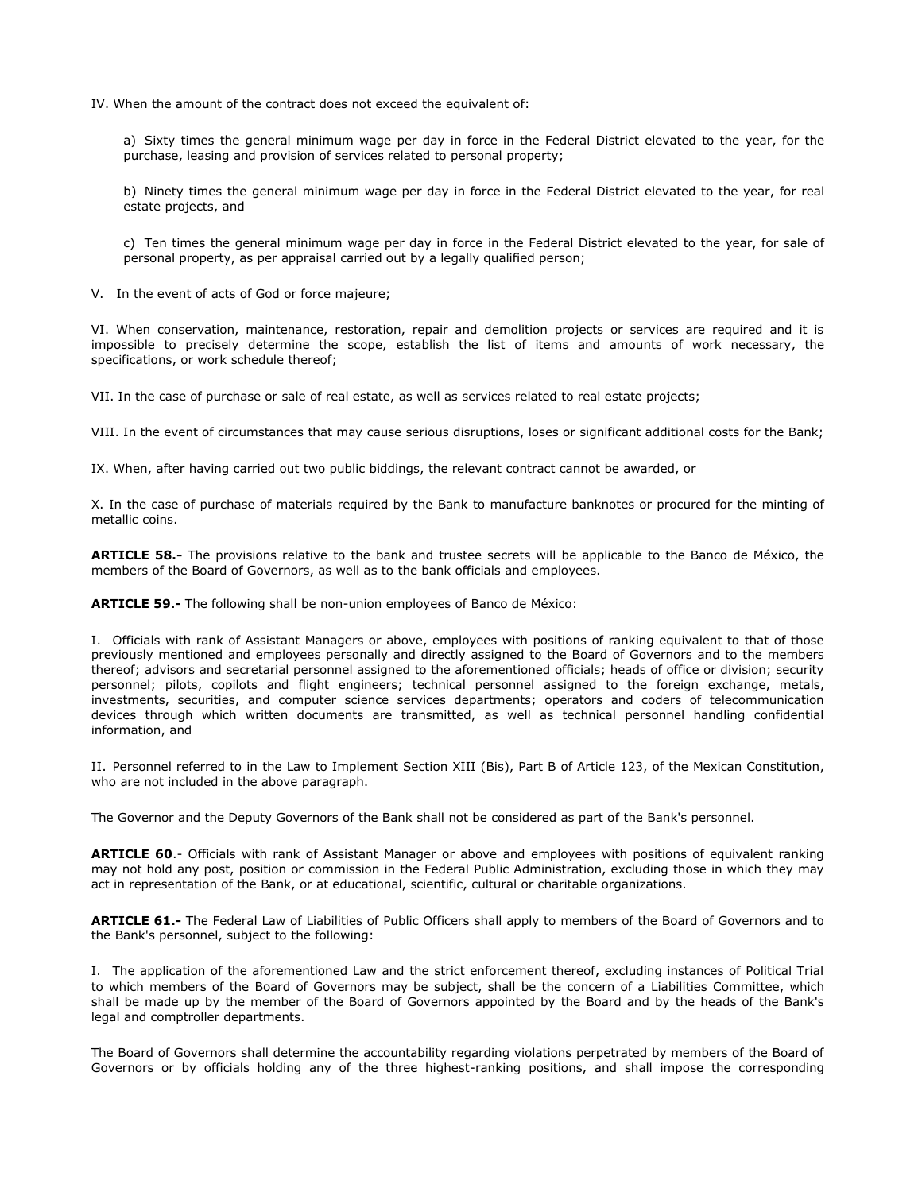IV. When the amount of the contract does not exceed the equivalent of:

a) Sixty times the general minimum wage per day in force in the Federal District elevated to the year, for the purchase, leasing and provision of services related to personal property;

b) Ninety times the general minimum wage per day in force in the Federal District elevated to the year, for real estate projects, and

c) Ten times the general minimum wage per day in force in the Federal District elevated to the year, for sale of personal property, as per appraisal carried out by a legally qualified person;

V. In the event of acts of God or force majeure;

VI. When conservation, maintenance, restoration, repair and demolition projects or services are required and it is impossible to precisely determine the scope, establish the list of items and amounts of work necessary, the specifications, or work schedule thereof;

VII. In the case of purchase or sale of real estate, as well as services related to real estate projects;

VIII. In the event of circumstances that may cause serious disruptions, loses or significant additional costs for the Bank;

IX. When, after having carried out two public biddings, the relevant contract cannot be awarded, or

X. In the case of purchase of materials required by the Bank to manufacture banknotes or procured for the minting of metallic coins.

**ARTICLE 58.-** The provisions relative to the bank and trustee secrets will be applicable to the Banco de México, the members of the Board of Governors, as well as to the bank officials and employees.

**ARTICLE 59.-** The following shall be non-union employees of Banco de México:

I. Officials with rank of Assistant Managers or above, employees with positions of ranking equivalent to that of those previously mentioned and employees personally and directly assigned to the Board of Governors and to the members thereof; advisors and secretarial personnel assigned to the aforementioned officials; heads of office or division; security personnel; pilots, copilots and flight engineers; technical personnel assigned to the foreign exchange, metals, investments, securities, and computer science services departments; operators and coders of telecommunication devices through which written documents are transmitted, as well as technical personnel handling confidential information, and

II. Personnel referred to in the Law to Implement Section XIII (Bis), Part B of Article 123, of the Mexican Constitution, who are not included in the above paragraph.

The Governor and the Deputy Governors of the Bank shall not be considered as part of the Bank's personnel.

**ARTICLE 60**.- Officials with rank of Assistant Manager or above and employees with positions of equivalent ranking may not hold any post, position or commission in the Federal Public Administration, excluding those in which they may act in representation of the Bank, or at educational, scientific, cultural or charitable organizations.

**ARTICLE 61.-** The Federal Law of Liabilities of Public Officers shall apply to members of the Board of Governors and to the Bank's personnel, subject to the following:

I. The application of the aforementioned Law and the strict enforcement thereof, excluding instances of Political Trial to which members of the Board of Governors may be subject, shall be the concern of a Liabilities Committee, which shall be made up by the member of the Board of Governors appointed by the Board and by the heads of the Bank's legal and comptroller departments.

The Board of Governors shall determine the accountability regarding violations perpetrated by members of the Board of Governors or by officials holding any of the three highest-ranking positions, and shall impose the corresponding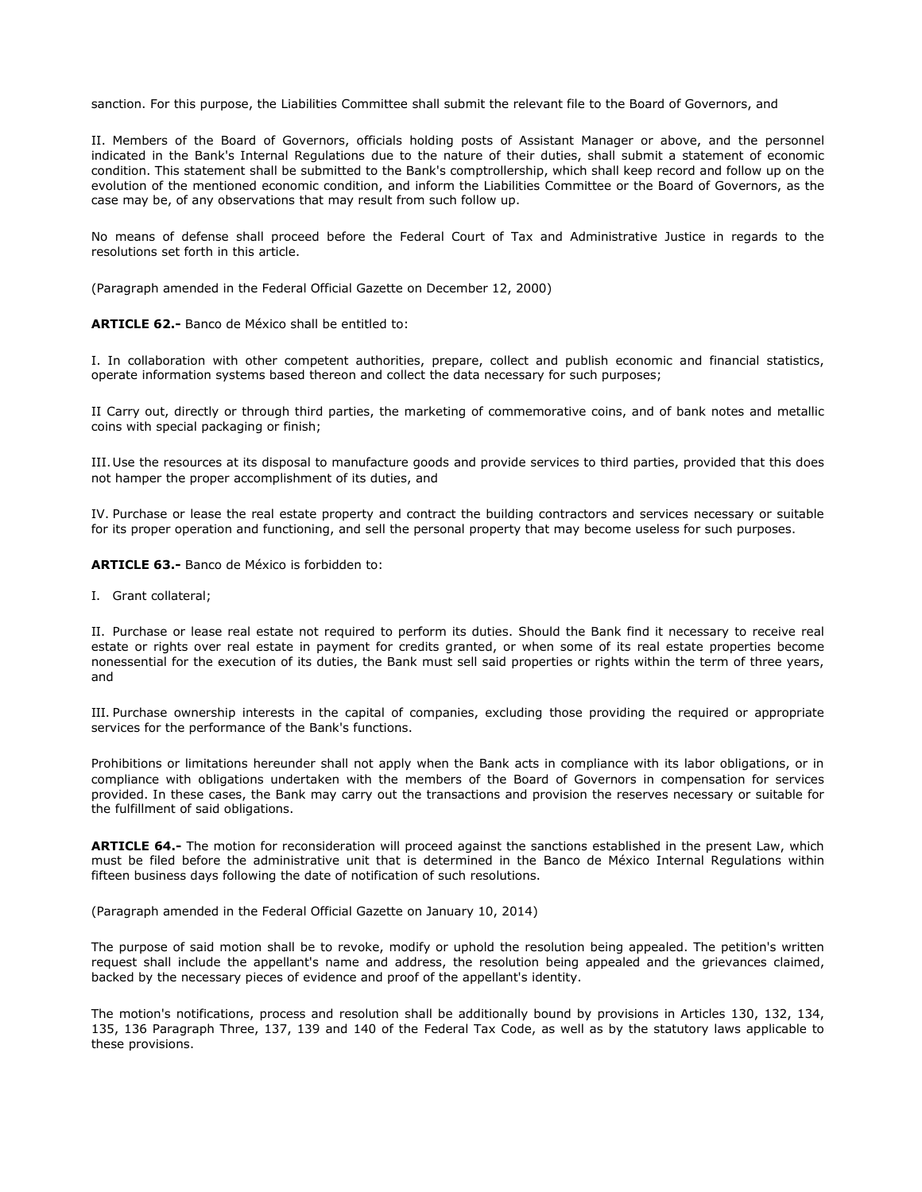sanction. For this purpose, the Liabilities Committee shall submit the relevant file to the Board of Governors, and

II. Members of the Board of Governors, officials holding posts of Assistant Manager or above, and the personnel indicated in the Bank's Internal Regulations due to the nature of their duties, shall submit a statement of economic condition. This statement shall be submitted to the Bank's comptrollership, which shall keep record and follow up on the evolution of the mentioned economic condition, and inform the Liabilities Committee or the Board of Governors, as the case may be, of any observations that may result from such follow up.

No means of defense shall proceed before the Federal Court of Tax and Administrative Justice in regards to the resolutions set forth in this article.

(Paragraph amended in the Federal Official Gazette on December 12, 2000)

**ARTICLE 62.-** Banco de México shall be entitled to:

I. In collaboration with other competent authorities, prepare, collect and publish economic and financial statistics, operate information systems based thereon and collect the data necessary for such purposes;

II Carry out, directly or through third parties, the marketing of commemorative coins, and of bank notes and metallic coins with special packaging or finish;

III.Use the resources at its disposal to manufacture goods and provide services to third parties, provided that this does not hamper the proper accomplishment of its duties, and

IV. Purchase or lease the real estate property and contract the building contractors and services necessary or suitable for its proper operation and functioning, and sell the personal property that may become useless for such purposes.

**ARTICLE 63.-** Banco de México is forbidden to:

I. Grant collateral;

II. Purchase or lease real estate not required to perform its duties. Should the Bank find it necessary to receive real estate or rights over real estate in payment for credits granted, or when some of its real estate properties become nonessential for the execution of its duties, the Bank must sell said properties or rights within the term of three years, and

III. Purchase ownership interests in the capital of companies, excluding those providing the required or appropriate services for the performance of the Bank's functions.

Prohibitions or limitations hereunder shall not apply when the Bank acts in compliance with its labor obligations, or in compliance with obligations undertaken with the members of the Board of Governors in compensation for services provided. In these cases, the Bank may carry out the transactions and provision the reserves necessary or suitable for the fulfillment of said obligations.

**ARTICLE 64.-** The motion for reconsideration will proceed against the sanctions established in the present Law, which must be filed before the administrative unit that is determined in the Banco de México Internal Regulations within fifteen business days following the date of notification of such resolutions.

(Paragraph amended in the Federal Official Gazette on January 10, 2014)

The purpose of said motion shall be to revoke, modify or uphold the resolution being appealed. The petition's written request shall include the appellant's name and address, the resolution being appealed and the grievances claimed, backed by the necessary pieces of evidence and proof of the appellant's identity.

The motion's notifications, process and resolution shall be additionally bound by provisions in Articles 130, 132, 134, 135, 136 Paragraph Three, 137, 139 and 140 of the Federal Tax Code, as well as by the statutory laws applicable to these provisions.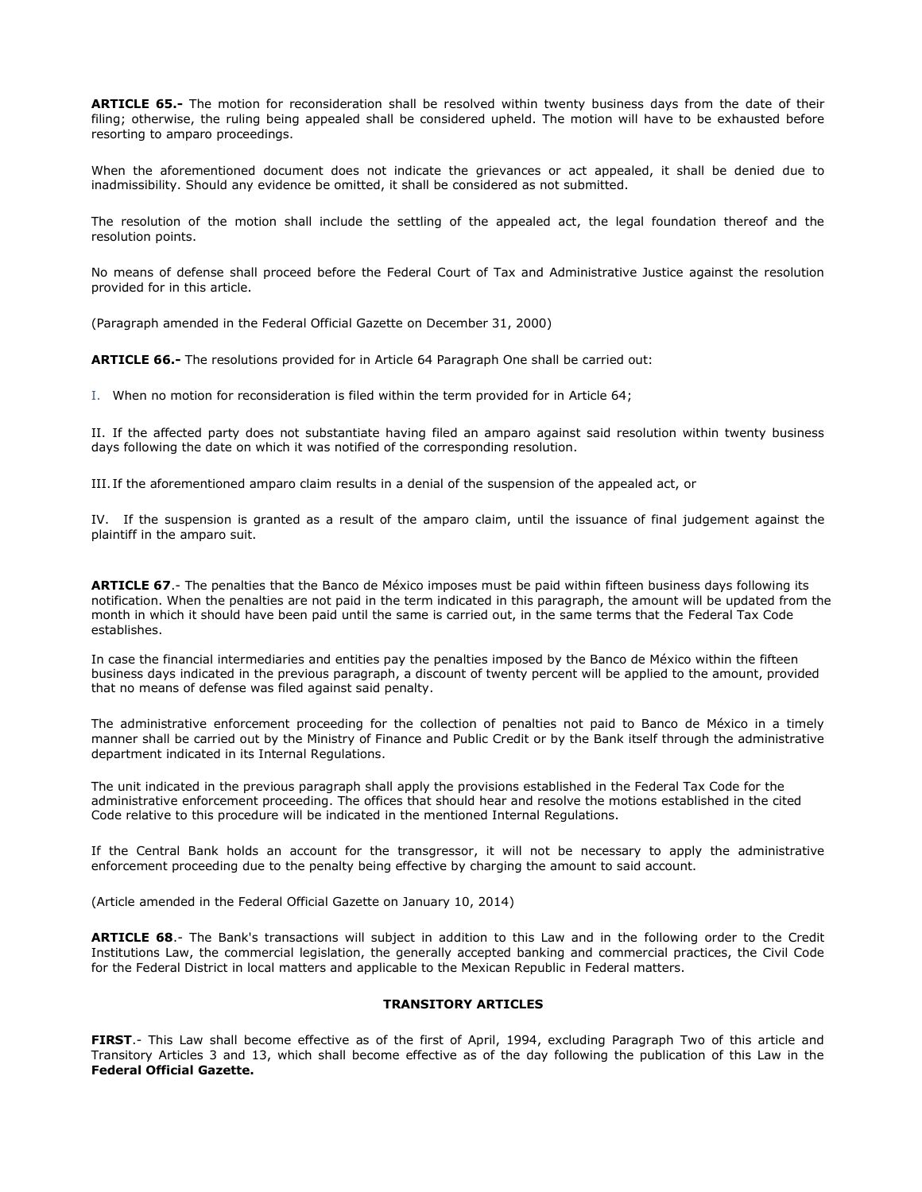**ARTICLE 65.-** The motion for reconsideration shall be resolved within twenty business days from the date of their filing; otherwise, the ruling being appealed shall be considered upheld. The motion will have to be exhausted before resorting to amparo proceedings.

When the aforementioned document does not indicate the grievances or act appealed, it shall be denied due to inadmissibility. Should any evidence be omitted, it shall be considered as not submitted.

The resolution of the motion shall include the settling of the appealed act, the legal foundation thereof and the resolution points.

No means of defense shall proceed before the Federal Court of Tax and Administrative Justice against the resolution provided for in this article.

(Paragraph amended in the Federal Official Gazette on December 31, 2000)

**ARTICLE 66.-** The resolutions provided for in Article 64 Paragraph One shall be carried out:

I. When no motion for reconsideration is filed within the term provided for in Article 64;

II. If the affected party does not substantiate having filed an amparo against said resolution within twenty business days following the date on which it was notified of the corresponding resolution.

III. If the aforementioned amparo claim results in a denial of the suspension of the appealed act, or

IV. If the suspension is granted as a result of the amparo claim, until the issuance of final judgement against the plaintiff in the amparo suit.

**ARTICLE 67**.- The penalties that the Banco de México imposes must be paid within fifteen business days following its notification. When the penalties are not paid in the term indicated in this paragraph, the amount will be updated from the month in which it should have been paid until the same is carried out, in the same terms that the Federal Tax Code establishes.

In case the financial intermediaries and entities pay the penalties imposed by the Banco de México within the fifteen business days indicated in the previous paragraph, a discount of twenty percent will be applied to the amount, provided that no means of defense was filed against said penalty.

The administrative enforcement proceeding for the collection of penalties not paid to Banco de México in a timely manner shall be carried out by the Ministry of Finance and Public Credit or by the Bank itself through the administrative department indicated in its Internal Regulations.

The unit indicated in the previous paragraph shall apply the provisions established in the Federal Tax Code for the administrative enforcement proceeding. The offices that should hear and resolve the motions established in the cited Code relative to this procedure will be indicated in the mentioned Internal Regulations.

If the Central Bank holds an account for the transgressor, it will not be necessary to apply the administrative enforcement proceeding due to the penalty being effective by charging the amount to said account.

(Article amended in the Federal Official Gazette on January 10, 2014)

**ARTICLE 68**.- The Bank's transactions will subject in addition to this Law and in the following order to the Credit Institutions Law, the commercial legislation, the generally accepted banking and commercial practices, the Civil Code for the Federal District in local matters and applicable to the Mexican Republic in Federal matters.

### **TRANSITORY ARTICLES**

**FIRST**.- This Law shall become effective as of the first of April, 1994, excluding Paragraph Two of this article and Transitory Articles 3 and 13, which shall become effective as of the day following the publication of this Law in the **Federal Official Gazette.**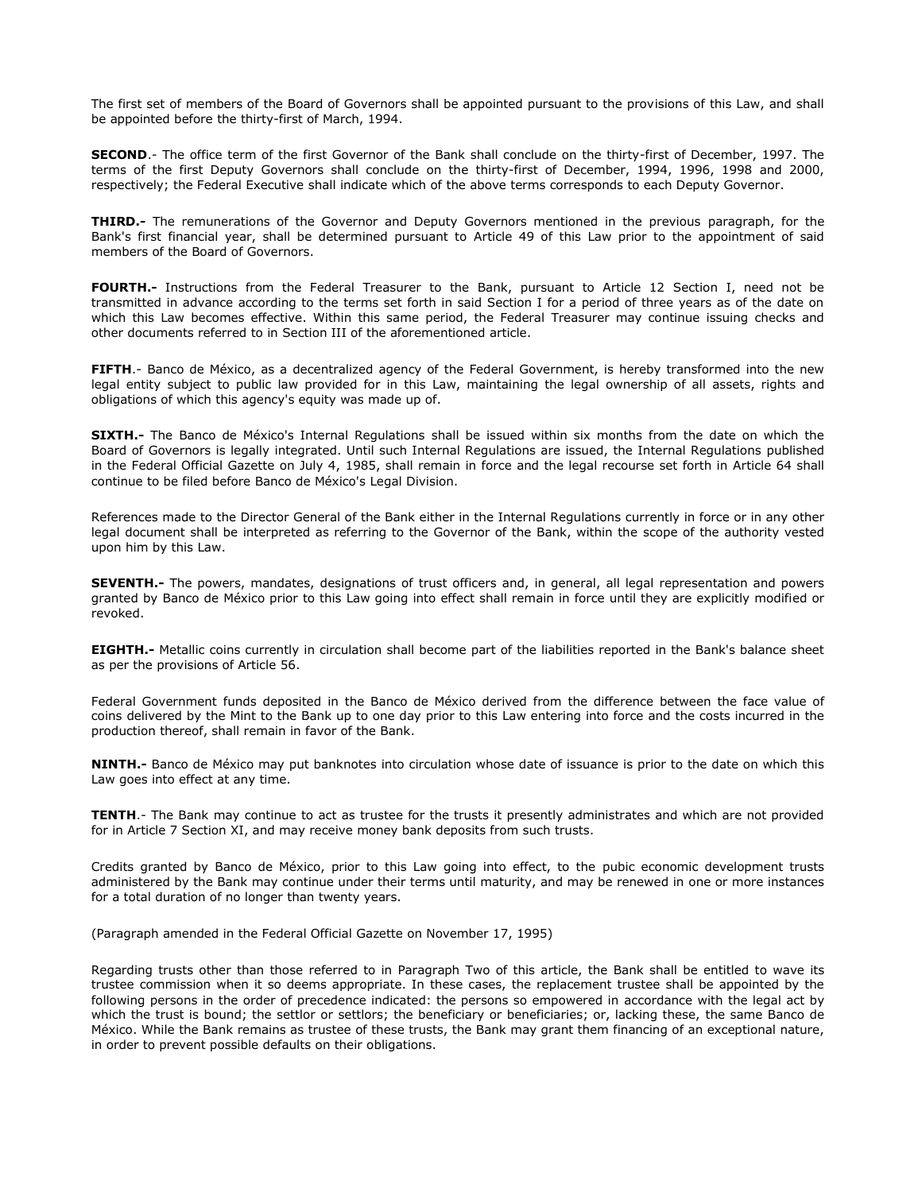The first set of members of the Board of Governors shall be appointed pursuant to the provisions of this Law, and shall be appointed before the thirty-first of March, 1994.

**SECOND**.- The office term of the first Governor of the Bank shall conclude on the thirty-first of December, 1997. The terms of the first Deputy Governors shall conclude on the thirty-first of December, 1994, 1996, 1998 and 2000, respectively; the Federal Executive shall indicate which of the above terms corresponds to each Deputy Governor.

**THIRD.-** The remunerations of the Governor and Deputy Governors mentioned in the previous paragraph, for the Bank's first financial year, shall be determined pursuant to Article 49 of this Law prior to the appointment of said members of the Board of Governors.

**FOURTH.-** Instructions from the Federal Treasurer to the Bank, pursuant to Article 12 Section I, need not be transmitted in advance according to the terms set forth in said Section I for a period of three years as of the date on which this Law becomes effective. Within this same period, the Federal Treasurer may continue issuing checks and other documents referred to in Section III of the aforementioned article.

**FIFTH**.- Banco de México, as a decentralized agency of the Federal Government, is hereby transformed into the new legal entity subject to public law provided for in this Law, maintaining the legal ownership of all assets, rights and obligations of which this agency's equity was made up of.

**SIXTH.-** The Banco de México's Internal Regulations shall be issued within six months from the date on which the Board of Governors is legally integrated. Until such Internal Regulations are issued, the Internal Regulations published in the Federal Official Gazette on July 4, 1985, shall remain in force and the legal recourse set forth in Article 64 shall continue to be filed before Banco de México's Legal Division.

References made to the Director General of the Bank either in the Internal Regulations currently in force or in any other legal document shall be interpreted as referring to the Governor of the Bank, within the scope of the authority vested upon him by this Law.

**SEVENTH.-** The powers, mandates, designations of trust officers and, in general, all legal representation and powers granted by Banco de México prior to this Law going into effect shall remain in force until they are explicitly modified or revoked.

**EIGHTH.-** Metallic coins currently in circulation shall become part of the liabilities reported in the Bank's balance sheet as per the provisions of Article 56.

Federal Government funds deposited in the Banco de México derived from the difference between the face value of coins delivered by the Mint to the Bank up to one day prior to this Law entering into force and the costs incurred in the production thereof, shall remain in favor of the Bank.

**NINTH.-** Banco de México may put banknotes into circulation whose date of issuance is prior to the date on which this Law goes into effect at any time.

**TENTH**.- The Bank may continue to act as trustee for the trusts it presently administrates and which are not provided for in Article 7 Section XI, and may receive money bank deposits from such trusts.

Credits granted by Banco de México, prior to this Law going into effect, to the pubic economic development trusts administered by the Bank may continue under their terms until maturity, and may be renewed in one or more instances for a total duration of no longer than twenty years.

(Paragraph amended in the Federal Official Gazette on November 17, 1995)

Regarding trusts other than those referred to in Paragraph Two of this article, the Bank shall be entitled to wave its trustee commission when it so deems appropriate. In these cases, the replacement trustee shall be appointed by the following persons in the order of precedence indicated: the persons so empowered in accordance with the legal act by which the trust is bound; the settlor or settlors; the beneficiary or beneficiaries; or, lacking these, the same Banco de México. While the Bank remains as trustee of these trusts, the Bank may grant them financing of an exceptional nature, in order to prevent possible defaults on their obligations.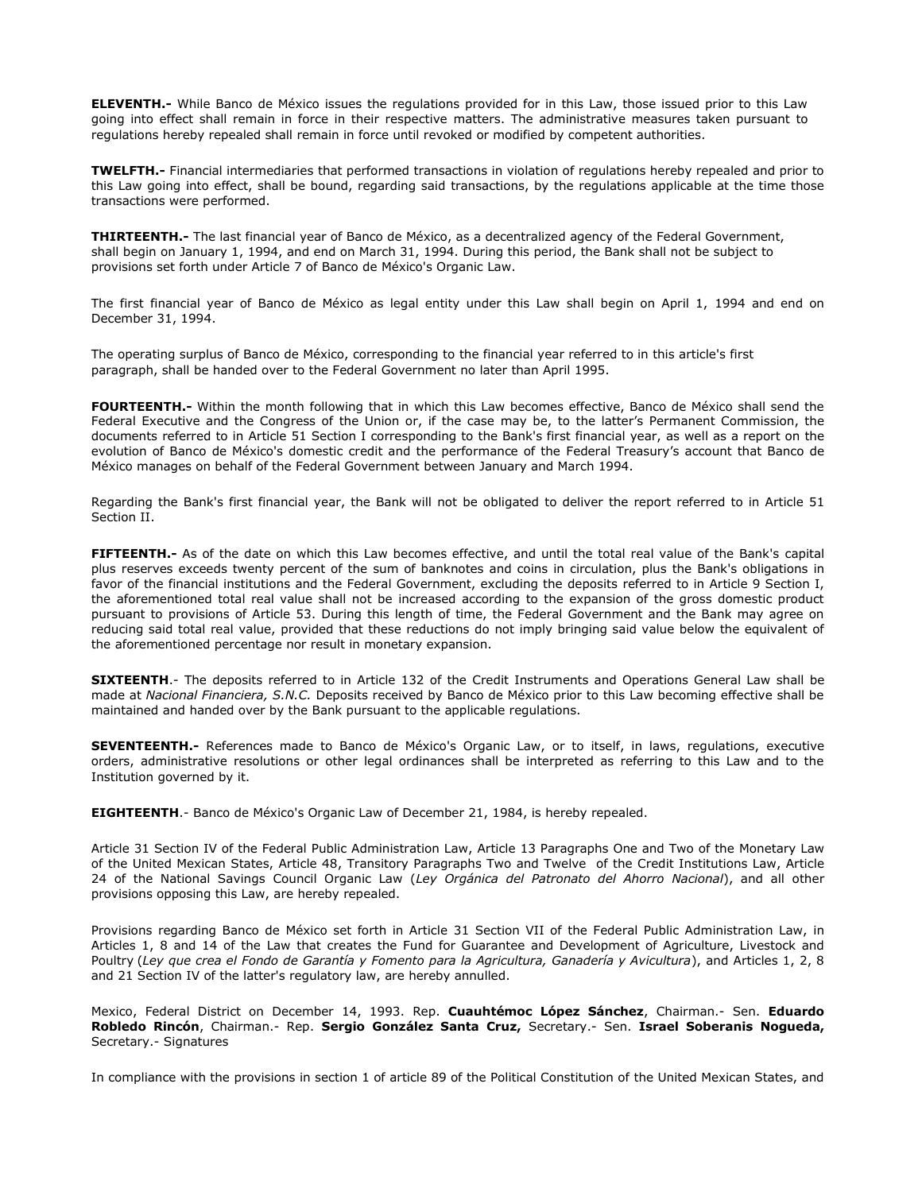**ELEVENTH.-** While Banco de México issues the regulations provided for in this Law, those issued prior to this Law going into effect shall remain in force in their respective matters. The administrative measures taken pursuant to regulations hereby repealed shall remain in force until revoked or modified by competent authorities.

**TWELFTH.-** Financial intermediaries that performed transactions in violation of regulations hereby repealed and prior to this Law going into effect, shall be bound, regarding said transactions, by the regulations applicable at the time those transactions were performed.

**THIRTEENTH.-** The last financial year of Banco de México, as a decentralized agency of the Federal Government, shall begin on January 1, 1994, and end on March 31, 1994. During this period, the Bank shall not be subject to provisions set forth under Article 7 of Banco de México's Organic Law.

The first financial year of Banco de México as legal entity under this Law shall begin on April 1, 1994 and end on December 31, 1994.

The operating surplus of Banco de México, corresponding to the financial year referred to in this article's first paragraph, shall be handed over to the Federal Government no later than April 1995.

**FOURTEENTH.-** Within the month following that in which this Law becomes effective, Banco de México shall send the Federal Executive and the Congress of the Union or, if the case may be, to the latter's Permanent Commission, the documents referred to in Article 51 Section I corresponding to the Bank's first financial year, as well as a report on the evolution of Banco de México's domestic credit and the performance of the Federal Treasury's account that Banco de México manages on behalf of the Federal Government between January and March 1994.

Regarding the Bank's first financial year, the Bank will not be obligated to deliver the report referred to in Article 51 Section II.

**FIFTEENTH.-** As of the date on which this Law becomes effective, and until the total real value of the Bank's capital plus reserves exceeds twenty percent of the sum of banknotes and coins in circulation, plus the Bank's obligations in favor of the financial institutions and the Federal Government, excluding the deposits referred to in Article 9 Section I, the aforementioned total real value shall not be increased according to the expansion of the gross domestic product pursuant to provisions of Article 53. During this length of time, the Federal Government and the Bank may agree on reducing said total real value, provided that these reductions do not imply bringing said value below the equivalent of the aforementioned percentage nor result in monetary expansion.

**SIXTEENTH**.- The deposits referred to in Article 132 of the Credit Instruments and Operations General Law shall be made at *Nacional Financiera, S.N.C.* Deposits received by Banco de México prior to this Law becoming effective shall be maintained and handed over by the Bank pursuant to the applicable regulations.

**SEVENTEENTH.-** References made to Banco de México's Organic Law, or to itself, in laws, regulations, executive orders, administrative resolutions or other legal ordinances shall be interpreted as referring to this Law and to the Institution governed by it.

**EIGHTEENTH**.- Banco de México's Organic Law of December 21, 1984, is hereby repealed.

Article 31 Section IV of the Federal Public Administration Law, Article 13 Paragraphs One and Two of the Monetary Law of the United Mexican States, Article 48, Transitory Paragraphs Two and Twelve of the Credit Institutions Law, Article 24 of the National Savings Council Organic Law (*Ley Orgánica del Patronato del Ahorro Nacional*), and all other provisions opposing this Law, are hereby repealed.

Provisions regarding Banco de México set forth in Article 31 Section VII of the Federal Public Administration Law, in Articles 1, 8 and 14 of the Law that creates the Fund for Guarantee and Development of Agriculture, Livestock and Poultry (*Ley que crea el Fondo de Garantía y Fomento para la Agricultura, Ganadería y Avicultura*), and Articles 1, 2, 8 and 21 Section IV of the latter's regulatory law, are hereby annulled.

Mexico, Federal District on December 14, 1993. Rep. **Cuauhtémoc López Sánchez**, Chairman.- Sen. **Eduardo Robledo Rincón**, Chairman.- Rep. **Sergio González Santa Cruz,** Secretary.- Sen. **Israel Soberanis Nogueda,**  Secretary.- Signatures

In compliance with the provisions in section 1 of article 89 of the Political Constitution of the United Mexican States, and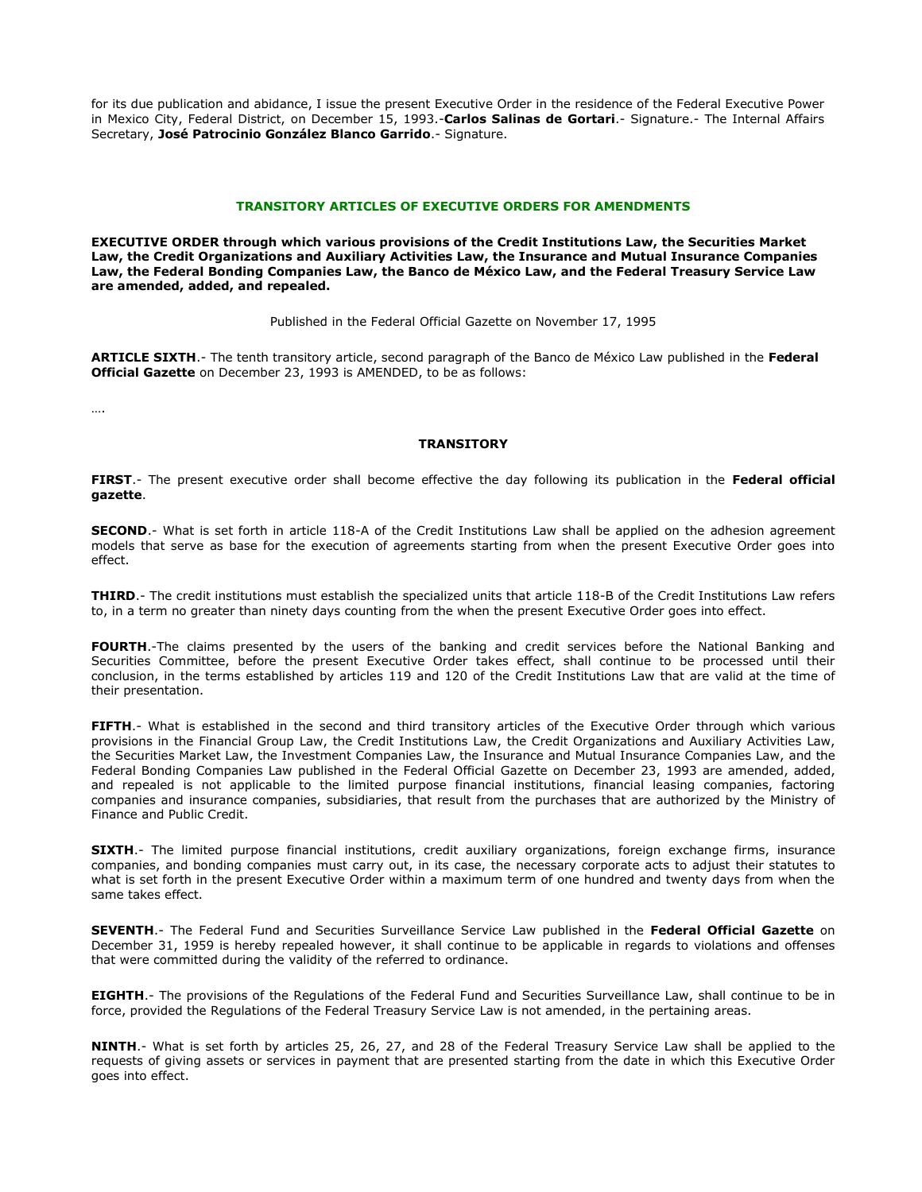for its due publication and abidance, I issue the present Executive Order in the residence of the Federal Executive Power in Mexico City, Federal District, on December 15, 1993.-**Carlos Salinas de Gortari**.- Signature.- The Internal Affairs Secretary, **José Patrocinio González Blanco Garrido**.- Signature.

#### **TRANSITORY ARTICLES OF EXECUTIVE ORDERS FOR AMENDMENTS**

**EXECUTIVE ORDER through which various provisions of the Credit Institutions Law, the Securities Market Law, the Credit Organizations and Auxiliary Activities Law, the Insurance and Mutual Insurance Companies Law, the Federal Bonding Companies Law, the Banco de México Law, and the Federal Treasury Service Law are amended, added, and repealed.**

Published in the Federal Official Gazette on November 17, 1995

**ARTICLE SIXTH**.- The tenth transitory article, second paragraph of the Banco de México Law published in the **Federal Official Gazette** on December 23, 1993 is AMENDED, to be as follows:

….

### **TRANSITORY**

**FIRST**.- The present executive order shall become effective the day following its publication in the **Federal official gazette**.

**SECOND**.- What is set forth in article 118-A of the Credit Institutions Law shall be applied on the adhesion agreement models that serve as base for the execution of agreements starting from when the present Executive Order goes into effect.

**THIRD**.- The credit institutions must establish the specialized units that article 118-B of the Credit Institutions Law refers to, in a term no greater than ninety days counting from the when the present Executive Order goes into effect.

**FOURTH**.-The claims presented by the users of the banking and credit services before the National Banking and Securities Committee, before the present Executive Order takes effect, shall continue to be processed until their conclusion, in the terms established by articles 119 and 120 of the Credit Institutions Law that are valid at the time of their presentation.

**FIFTH**.- What is established in the second and third transitory articles of the Executive Order through which various provisions in the Financial Group Law, the Credit Institutions Law, the Credit Organizations and Auxiliary Activities Law, the Securities Market Law, the Investment Companies Law, the Insurance and Mutual Insurance Companies Law, and the Federal Bonding Companies Law published in the Federal Official Gazette on December 23, 1993 are amended, added, and repealed is not applicable to the limited purpose financial institutions, financial leasing companies, factoring companies and insurance companies, subsidiaries, that result from the purchases that are authorized by the Ministry of Finance and Public Credit.

**SIXTH.**- The limited purpose financial institutions, credit auxiliary organizations, foreign exchange firms, insurance companies, and bonding companies must carry out, in its case, the necessary corporate acts to adjust their statutes to what is set forth in the present Executive Order within a maximum term of one hundred and twenty days from when the same takes effect.

**SEVENTH**.- The Federal Fund and Securities Surveillance Service Law published in the **Federal Official Gazette** on December 31, 1959 is hereby repealed however, it shall continue to be applicable in regards to violations and offenses that were committed during the validity of the referred to ordinance.

**EIGHTH**.- The provisions of the Regulations of the Federal Fund and Securities Surveillance Law, shall continue to be in force, provided the Regulations of the Federal Treasury Service Law is not amended, in the pertaining areas.

**NINTH**.- What is set forth by articles 25, 26, 27, and 28 of the Federal Treasury Service Law shall be applied to the requests of giving assets or services in payment that are presented starting from the date in which this Executive Order goes into effect.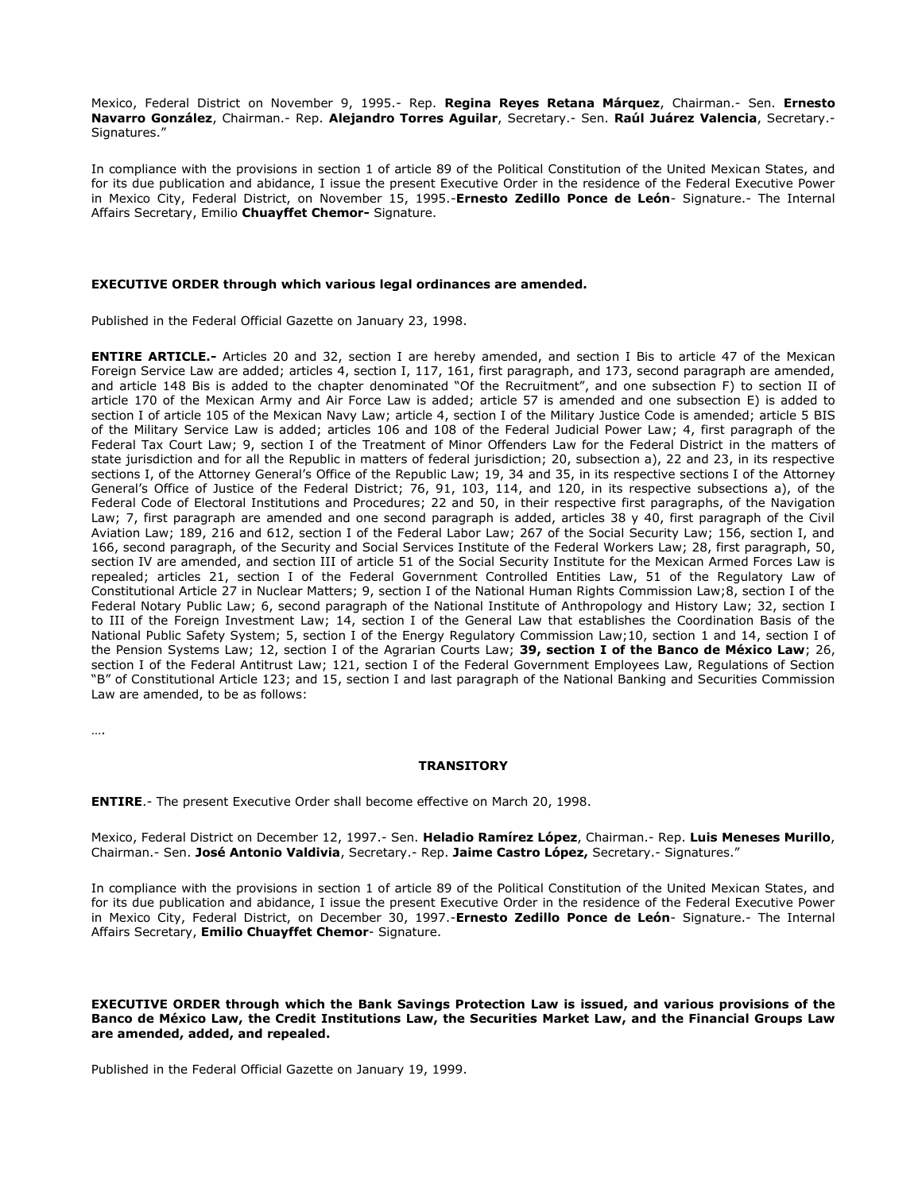Mexico, Federal District on November 9, 1995.- Rep. **Regina Reyes Retana Márquez**, Chairman.- Sen. **Ernesto Navarro González**, Chairman.- Rep. **Alejandro Torres Aguilar**, Secretary.- Sen. **Raúl Juárez Valencia**, Secretary.- Signatures."

In compliance with the provisions in section 1 of article 89 of the Political Constitution of the United Mexican States, and for its due publication and abidance, I issue the present Executive Order in the residence of the Federal Executive Power in Mexico City, Federal District, on November 15, 1995.-**Ernesto Zedillo Ponce de León**- Signature.- The Internal Affairs Secretary, Emilio **Chuayffet Chemor-** Signature.

#### **EXECUTIVE ORDER through which various legal ordinances are amended.**

Published in the Federal Official Gazette on January 23, 1998.

**ENTIRE ARTICLE.-** Articles 20 and 32, section I are hereby amended, and section I Bis to article 47 of the Mexican Foreign Service Law are added; articles 4, section I, 117, 161, first paragraph, and 173, second paragraph are amended, and article 148 Bis is added to the chapter denominated "Of the Recruitment", and one subsection F) to section II of article 170 of the Mexican Army and Air Force Law is added; article 57 is amended and one subsection E) is added to section I of article 105 of the Mexican Navy Law; article 4, section I of the Military Justice Code is amended; article 5 BIS of the Military Service Law is added; articles 106 and 108 of the Federal Judicial Power Law; 4, first paragraph of the Federal Tax Court Law; 9, section I of the Treatment of Minor Offenders Law for the Federal District in the matters of state jurisdiction and for all the Republic in matters of federal jurisdiction; 20, subsection a), 22 and 23, in its respective sections I, of the Attorney General's Office of the Republic Law; 19, 34 and 35, in its respective sections I of the Attorney General's Office of Justice of the Federal District; 76, 91, 103, 114, and 120, in its respective subsections a), of the Federal Code of Electoral Institutions and Procedures; 22 and 50, in their respective first paragraphs, of the Navigation Law; 7, first paragraph are amended and one second paragraph is added, articles 38 y 40, first paragraph of the Civil Aviation Law; 189, 216 and 612, section I of the Federal Labor Law; 267 of the Social Security Law; 156, section I, and 166, second paragraph, of the Security and Social Services Institute of the Federal Workers Law; 28, first paragraph, 50, section IV are amended, and section III of article 51 of the Social Security Institute for the Mexican Armed Forces Law is repealed; articles 21, section I of the Federal Government Controlled Entities Law, 51 of the Regulatory Law of Constitutional Article 27 in Nuclear Matters; 9, section I of the National Human Rights Commission Law;8, section I of the Federal Notary Public Law; 6, second paragraph of the National Institute of Anthropology and History Law; 32, section I to III of the Foreign Investment Law; 14, section I of the General Law that establishes the Coordination Basis of the National Public Safety System; 5, section I of the Energy Regulatory Commission Law;10, section 1 and 14, section I of the Pension Systems Law; 12, section I of the Agrarian Courts Law; **39, section I of the Banco de México Law**; 26, section I of the Federal Antitrust Law; 121, section I of the Federal Government Employees Law, Regulations of Section "B" of Constitutional Article 123; and 15, section I and last paragraph of the National Banking and Securities Commission Law are amended, to be as follows:

….

### **TRANSITORY**

**ENTIRE**.- The present Executive Order shall become effective on March 20, 1998.

Mexico, Federal District on December 12, 1997.- Sen. **Heladio Ramírez López**, Chairman.- Rep. **Luis Meneses Murillo**, Chairman.- Sen. **José Antonio Valdivia**, Secretary.- Rep. **Jaime Castro López,** Secretary.- Signatures."

In compliance with the provisions in section 1 of article 89 of the Political Constitution of the United Mexican States, and for its due publication and abidance, I issue the present Executive Order in the residence of the Federal Executive Power in Mexico City, Federal District, on December 30, 1997.-**Ernesto Zedillo Ponce de León**- Signature.- The Internal Affairs Secretary, **Emilio Chuayffet Chemor**- Signature.

**EXECUTIVE ORDER through which the Bank Savings Protection Law is issued, and various provisions of the Banco de México Law, the Credit Institutions Law, the Securities Market Law, and the Financial Groups Law are amended, added, and repealed.**

Published in the Federal Official Gazette on January 19, 1999.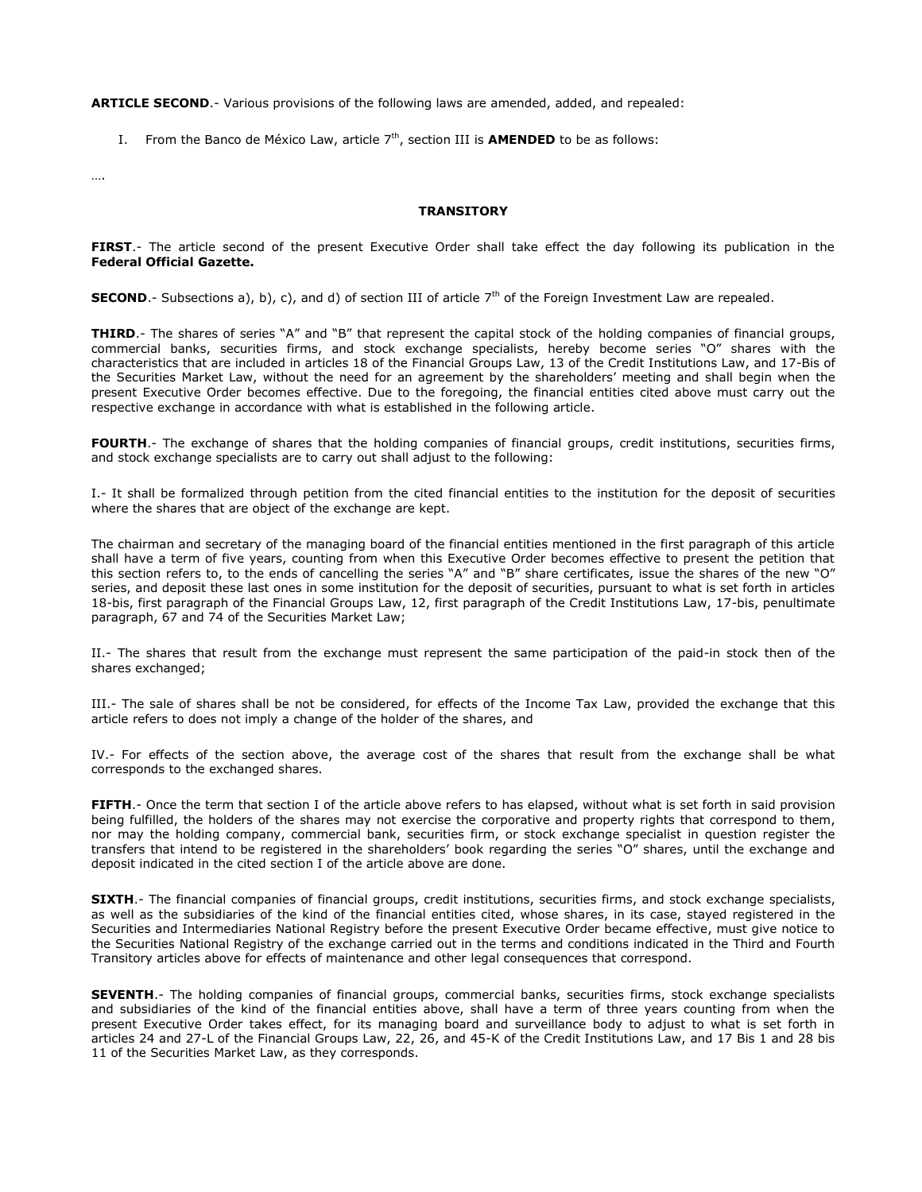**ARTICLE SECOND**.- Various provisions of the following laws are amended, added, and repealed:

I. From the Banco de México Law, article 7<sup>th</sup>, section III is **AMENDED** to be as follows:

….

#### **TRANSITORY**

**FIRST**.- The article second of the present Executive Order shall take effect the day following its publication in the **Federal Official Gazette.**

**SECOND.**- Subsections a), b), c), and d) of section III of article  $7<sup>th</sup>$  of the Foreign Investment Law are repealed.

**THIRD**.- The shares of series "A" and "B" that represent the capital stock of the holding companies of financial groups, commercial banks, securities firms, and stock exchange specialists, hereby become series "O" shares with the characteristics that are included in articles 18 of the Financial Groups Law, 13 of the Credit Institutions Law, and 17-Bis of the Securities Market Law, without the need for an agreement by the shareholders' meeting and shall begin when the present Executive Order becomes effective. Due to the foregoing, the financial entities cited above must carry out the respective exchange in accordance with what is established in the following article.

**FOURTH**.- The exchange of shares that the holding companies of financial groups, credit institutions, securities firms, and stock exchange specialists are to carry out shall adjust to the following:

I.- It shall be formalized through petition from the cited financial entities to the institution for the deposit of securities where the shares that are object of the exchange are kept.

The chairman and secretary of the managing board of the financial entities mentioned in the first paragraph of this article shall have a term of five years, counting from when this Executive Order becomes effective to present the petition that this section refers to, to the ends of cancelling the series "A" and "B" share certificates, issue the shares of the new "O" series, and deposit these last ones in some institution for the deposit of securities, pursuant to what is set forth in articles 18-bis, first paragraph of the Financial Groups Law, 12, first paragraph of the Credit Institutions Law, 17-bis, penultimate paragraph, 67 and 74 of the Securities Market Law;

II.- The shares that result from the exchange must represent the same participation of the paid-in stock then of the shares exchanged;

III.- The sale of shares shall be not be considered, for effects of the Income Tax Law, provided the exchange that this article refers to does not imply a change of the holder of the shares, and

IV.- For effects of the section above, the average cost of the shares that result from the exchange shall be what corresponds to the exchanged shares.

**FIFTH**.- Once the term that section I of the article above refers to has elapsed, without what is set forth in said provision being fulfilled, the holders of the shares may not exercise the corporative and property rights that correspond to them, nor may the holding company, commercial bank, securities firm, or stock exchange specialist in question register the transfers that intend to be registered in the shareholders' book regarding the series "O" shares, until the exchange and deposit indicated in the cited section I of the article above are done.

**SIXTH**.- The financial companies of financial groups, credit institutions, securities firms, and stock exchange specialists, as well as the subsidiaries of the kind of the financial entities cited, whose shares, in its case, stayed registered in the Securities and Intermediaries National Registry before the present Executive Order became effective, must give notice to the Securities National Registry of the exchange carried out in the terms and conditions indicated in the Third and Fourth Transitory articles above for effects of maintenance and other legal consequences that correspond.

**SEVENTH**.- The holding companies of financial groups, commercial banks, securities firms, stock exchange specialists and subsidiaries of the kind of the financial entities above, shall have a term of three years counting from when the present Executive Order takes effect, for its managing board and surveillance body to adjust to what is set forth in articles 24 and 27-L of the Financial Groups Law, 22, 26, and 45-K of the Credit Institutions Law, and 17 Bis 1 and 28 bis 11 of the Securities Market Law, as they corresponds.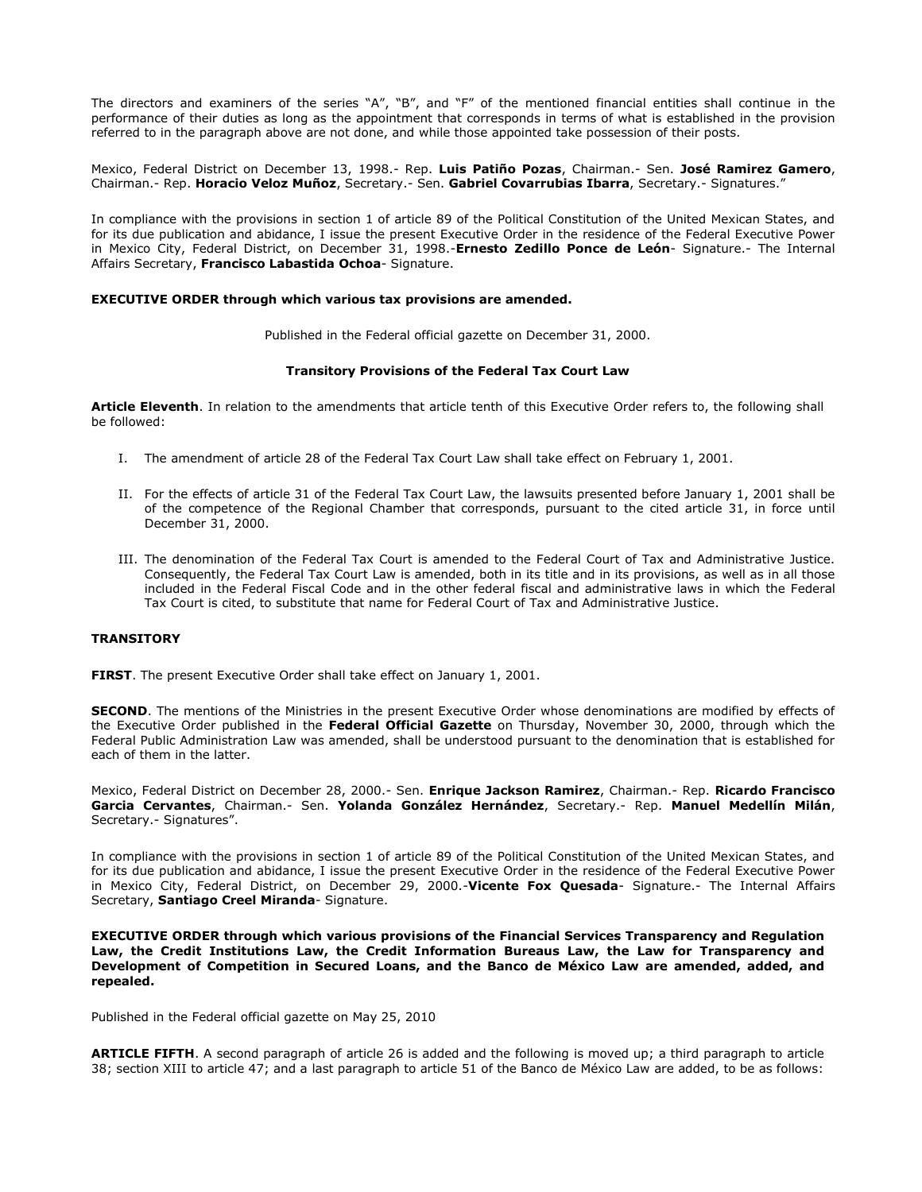The directors and examiners of the series "A", "B", and "F" of the mentioned financial entities shall continue in the performance of their duties as long as the appointment that corresponds in terms of what is established in the provision referred to in the paragraph above are not done, and while those appointed take possession of their posts.

Mexico, Federal District on December 13, 1998.- Rep. **Luis Patiño Pozas**, Chairman.- Sen. **José Ramirez Gamero**, Chairman.- Rep. **Horacio Veloz Muñoz**, Secretary.- Sen. **Gabriel Covarrubias Ibarra**, Secretary.- Signatures."

In compliance with the provisions in section 1 of article 89 of the Political Constitution of the United Mexican States, and for its due publication and abidance, I issue the present Executive Order in the residence of the Federal Executive Power in Mexico City, Federal District, on December 31, 1998.-**Ernesto Zedillo Ponce de León**- Signature.- The Internal Affairs Secretary, **Francisco Labastida Ochoa**- Signature.

### **EXECUTIVE ORDER through which various tax provisions are amended.**

Published in the Federal official gazette on December 31, 2000.

#### **Transitory Provisions of the Federal Tax Court Law**

**Article Eleventh**. In relation to the amendments that article tenth of this Executive Order refers to, the following shall be followed:

- I. The amendment of article 28 of the Federal Tax Court Law shall take effect on February 1, 2001.
- II. For the effects of article 31 of the Federal Tax Court Law, the lawsuits presented before January 1, 2001 shall be of the competence of the Regional Chamber that corresponds, pursuant to the cited article 31, in force until December 31, 2000.
- III. The denomination of the Federal Tax Court is amended to the Federal Court of Tax and Administrative Justice. Consequently, the Federal Tax Court Law is amended, both in its title and in its provisions, as well as in all those included in the Federal Fiscal Code and in the other federal fiscal and administrative laws in which the Federal Tax Court is cited, to substitute that name for Federal Court of Tax and Administrative Justice.

### **TRANSITORY**

**FIRST**. The present Executive Order shall take effect on January 1, 2001.

**SECOND**. The mentions of the Ministries in the present Executive Order whose denominations are modified by effects of the Executive Order published in the **Federal Official Gazette** on Thursday, November 30, 2000, through which the Federal Public Administration Law was amended, shall be understood pursuant to the denomination that is established for each of them in the latter.

Mexico, Federal District on December 28, 2000.- Sen. **Enrique Jackson Ramirez**, Chairman.- Rep. **Ricardo Francisco Garcia Cervantes**, Chairman.- Sen. **Yolanda González Hernández**, Secretary.- Rep. **Manuel Medellín Milán**, Secretary.- Signatures".

In compliance with the provisions in section 1 of article 89 of the Political Constitution of the United Mexican States, and for its due publication and abidance, I issue the present Executive Order in the residence of the Federal Executive Power in Mexico City, Federal District, on December 29, 2000.-**Vicente Fox Quesada**- Signature.- The Internal Affairs Secretary, **Santiago Creel Miranda**- Signature.

**EXECUTIVE ORDER through which various provisions of the Financial Services Transparency and Regulation Law, the Credit Institutions Law, the Credit Information Bureaus Law, the Law for Transparency and Development of Competition in Secured Loans, and the Banco de México Law are amended, added, and repealed.**

Published in the Federal official gazette on May 25, 2010

**ARTICLE FIFTH**. A second paragraph of article 26 is added and the following is moved up; a third paragraph to article 38; section XIII to article 47; and a last paragraph to article 51 of the Banco de México Law are added, to be as follows: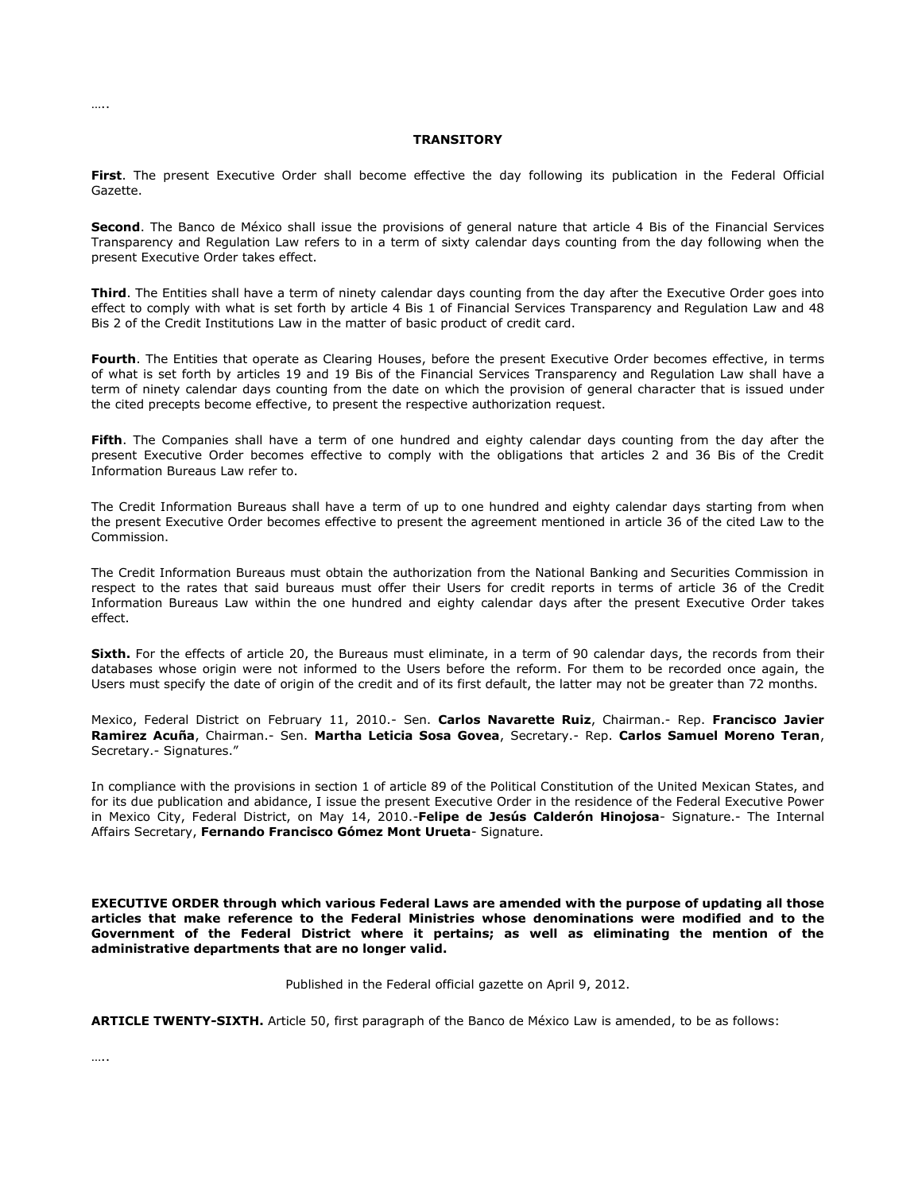#### **TRANSITORY**

**First**. The present Executive Order shall become effective the day following its publication in the Federal Official Gazette.

**Second**. The Banco de México shall issue the provisions of general nature that article 4 Bis of the Financial Services Transparency and Regulation Law refers to in a term of sixty calendar days counting from the day following when the present Executive Order takes effect.

**Third**. The Entities shall have a term of ninety calendar days counting from the day after the Executive Order goes into effect to comply with what is set forth by article 4 Bis 1 of Financial Services Transparency and Regulation Law and 48 Bis 2 of the Credit Institutions Law in the matter of basic product of credit card.

**Fourth**. The Entities that operate as Clearing Houses, before the present Executive Order becomes effective, in terms of what is set forth by articles 19 and 19 Bis of the Financial Services Transparency and Regulation Law shall have a term of ninety calendar days counting from the date on which the provision of general character that is issued under the cited precepts become effective, to present the respective authorization request.

**Fifth**. The Companies shall have a term of one hundred and eighty calendar days counting from the day after the present Executive Order becomes effective to comply with the obligations that articles 2 and 36 Bis of the Credit Information Bureaus Law refer to.

The Credit Information Bureaus shall have a term of up to one hundred and eighty calendar days starting from when the present Executive Order becomes effective to present the agreement mentioned in article 36 of the cited Law to the Commission.

The Credit Information Bureaus must obtain the authorization from the National Banking and Securities Commission in respect to the rates that said bureaus must offer their Users for credit reports in terms of article 36 of the Credit Information Bureaus Law within the one hundred and eighty calendar days after the present Executive Order takes effect.

**Sixth.** For the effects of article 20, the Bureaus must eliminate, in a term of 90 calendar days, the records from their databases whose origin were not informed to the Users before the reform. For them to be recorded once again, the Users must specify the date of origin of the credit and of its first default, the latter may not be greater than 72 months.

Mexico, Federal District on February 11, 2010.- Sen. **Carlos Navarette Ruiz**, Chairman.- Rep. **Francisco Javier Ramirez Acuña**, Chairman.- Sen. **Martha Leticia Sosa Govea**, Secretary.- Rep. **Carlos Samuel Moreno Teran**, Secretary.- Signatures."

In compliance with the provisions in section 1 of article 89 of the Political Constitution of the United Mexican States, and for its due publication and abidance, I issue the present Executive Order in the residence of the Federal Executive Power in Mexico City, Federal District, on May 14, 2010.-**Felipe de Jesús Calderón Hinojosa**- Signature.- The Internal Affairs Secretary, **Fernando Francisco Gómez Mont Urueta**- Signature.

**EXECUTIVE ORDER through which various Federal Laws are amended with the purpose of updating all those articles that make reference to the Federal Ministries whose denominations were modified and to the Government of the Federal District where it pertains; as well as eliminating the mention of the administrative departments that are no longer valid.**

Published in the Federal official gazette on April 9, 2012.

**ARTICLE TWENTY-SIXTH.** Article 50, first paragraph of the Banco de México Law is amended, to be as follows:

…..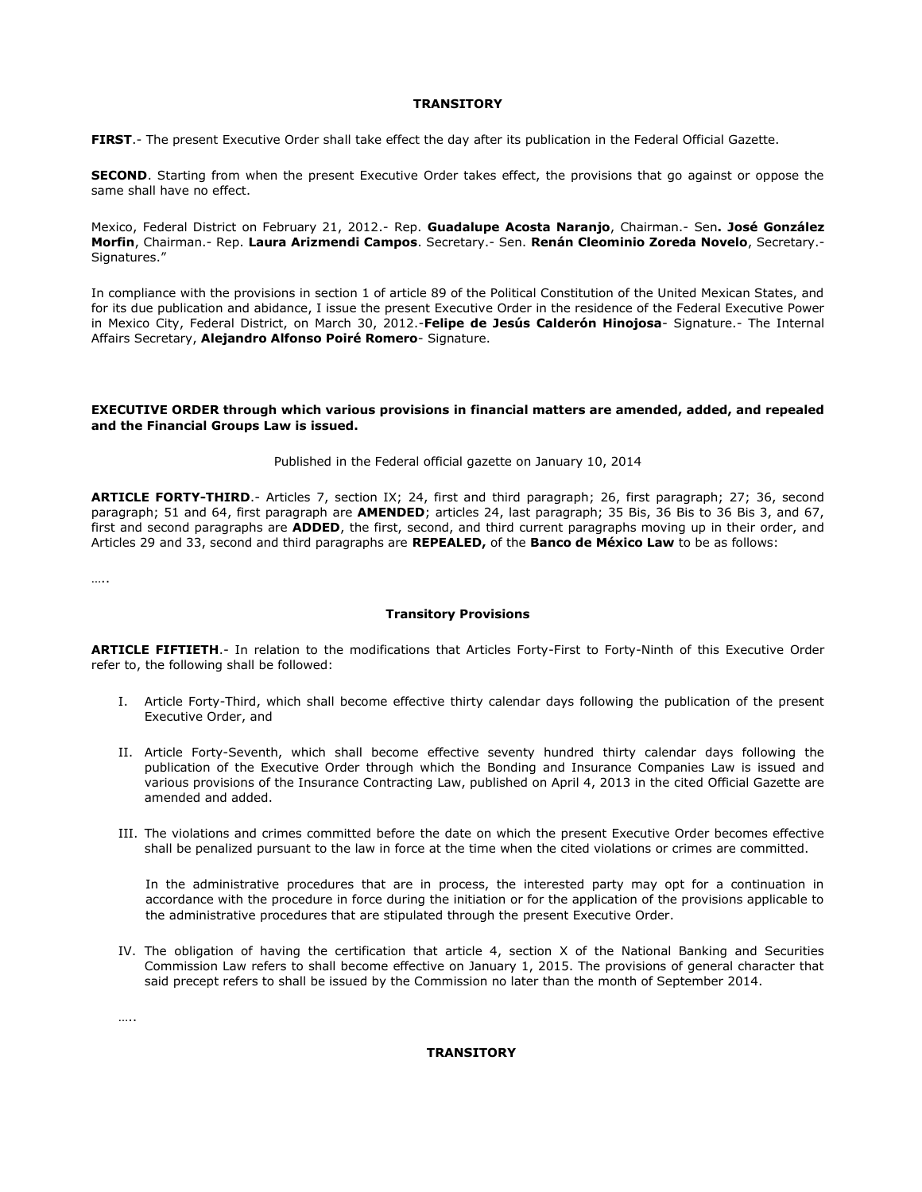#### **TRANSITORY**

**FIRST**.- The present Executive Order shall take effect the day after its publication in the Federal Official Gazette.

**SECOND**. Starting from when the present Executive Order takes effect, the provisions that go against or oppose the same shall have no effect.

Mexico, Federal District on February 21, 2012.- Rep. **Guadalupe Acosta Naranjo**, Chairman.- Sen**. José González Morfin**, Chairman.- Rep. **Laura Arizmendi Campos**. Secretary.- Sen. **Renán Cleominio Zoreda Novelo**, Secretary.- Signatures."

In compliance with the provisions in section 1 of article 89 of the Political Constitution of the United Mexican States, and for its due publication and abidance, I issue the present Executive Order in the residence of the Federal Executive Power in Mexico City, Federal District, on March 30, 2012.-**Felipe de Jesús Calderón Hinojosa**- Signature.- The Internal Affairs Secretary, **Alejandro Alfonso Poiré Romero**- Signature.

### **EXECUTIVE ORDER through which various provisions in financial matters are amended, added, and repealed and the Financial Groups Law is issued.**

#### Published in the Federal official gazette on January 10, 2014

**ARTICLE FORTY-THIRD**.- Articles 7, section IX; 24, first and third paragraph; 26, first paragraph; 27; 36, second paragraph; 51 and 64, first paragraph are **AMENDED**; articles 24, last paragraph; 35 Bis, 36 Bis to 36 Bis 3, and 67, first and second paragraphs are **ADDED**, the first, second, and third current paragraphs moving up in their order, and Articles 29 and 33, second and third paragraphs are **REPEALED,** of the **Banco de México Law** to be as follows:

…..

### **Transitory Provisions**

**ARTICLE FIFTIETH**.- In relation to the modifications that Articles Forty-First to Forty-Ninth of this Executive Order refer to, the following shall be followed:

- I. Article Forty-Third, which shall become effective thirty calendar days following the publication of the present Executive Order, and
- II. Article Forty-Seventh, which shall become effective seventy hundred thirty calendar days following the publication of the Executive Order through which the Bonding and Insurance Companies Law is issued and various provisions of the Insurance Contracting Law, published on April 4, 2013 in the cited Official Gazette are amended and added.
- III. The violations and crimes committed before the date on which the present Executive Order becomes effective shall be penalized pursuant to the law in force at the time when the cited violations or crimes are committed.

In the administrative procedures that are in process, the interested party may opt for a continuation in accordance with the procedure in force during the initiation or for the application of the provisions applicable to the administrative procedures that are stipulated through the present Executive Order.

IV. The obligation of having the certification that article 4, section X of the National Banking and Securities Commission Law refers to shall become effective on January 1, 2015. The provisions of general character that said precept refers to shall be issued by the Commission no later than the month of September 2014.

…..

# **TRANSITORY**